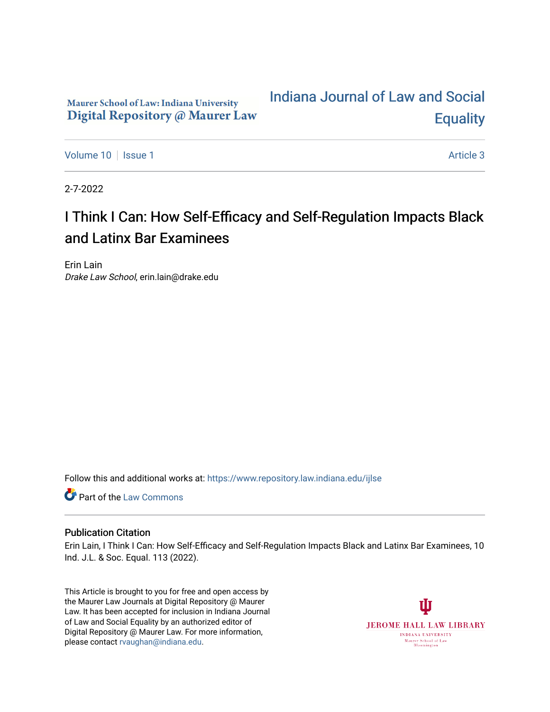# Maurer School of Law: Indiana University Digital Repository @ Maurer Law

# [Indiana Journal of Law and Social](https://www.repository.law.indiana.edu/ijlse)  **Equality**

[Volume 10](https://www.repository.law.indiana.edu/ijlse/vol10) | [Issue 1](https://www.repository.law.indiana.edu/ijlse/vol10/iss1) Article 3

2-7-2022

# I Think I Can: How Self-Efficacy and Self-Regulation Impacts Black and Latinx Bar Examinees

Erin Lain Drake Law School, erin.lain@drake.edu

Follow this and additional works at: [https://www.repository.law.indiana.edu/ijlse](https://www.repository.law.indiana.edu/ijlse?utm_source=www.repository.law.indiana.edu%2Fijlse%2Fvol10%2Fiss1%2F3&utm_medium=PDF&utm_campaign=PDFCoverPages)

Part of the [Law Commons](http://network.bepress.com/hgg/discipline/578?utm_source=www.repository.law.indiana.edu%2Fijlse%2Fvol10%2Fiss1%2F3&utm_medium=PDF&utm_campaign=PDFCoverPages)

#### Publication Citation

Erin Lain, I Think I Can: How Self-Efficacy and Self-Regulation Impacts Black and Latinx Bar Examinees, 10 Ind. J.L. & Soc. Equal. 113 (2022).

This Article is brought to you for free and open access by the Maurer Law Journals at Digital Repository @ Maurer Law. It has been accepted for inclusion in Indiana Journal of Law and Social Equality by an authorized editor of Digital Repository @ Maurer Law. For more information, please contact [rvaughan@indiana.edu.](mailto:rvaughan@indiana.edu)

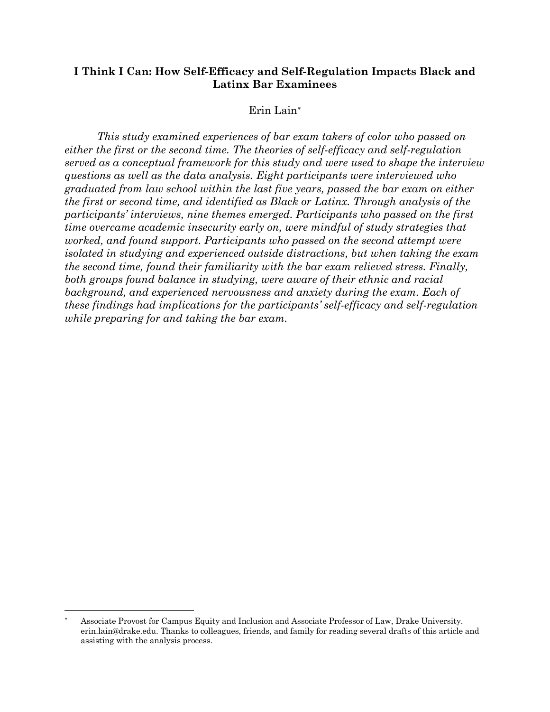# **I Think I Can: How Self-Efficacy and Self-Regulation Impacts Black and Latinx Bar Examinees**

## Erin Lain\*

*This study examined experiences of bar exam takers of color who passed on either the first or the second time. The theories of self-efficacy and self-regulation served as a conceptual framework for this study and were used to shape the interview questions as well as the data analysis. Eight participants were interviewed who graduated from law school within the last five years, passed the bar exam on either the first or second time, and identified as Black or Latinx. Through analysis of the participants' interviews, nine themes emerged. Participants who passed on the first time overcame academic insecurity early on, were mindful of study strategies that worked, and found support. Participants who passed on the second attempt were isolated in studying and experienced outside distractions, but when taking the exam the second time, found their familiarity with the bar exam relieved stress. Finally, both groups found balance in studying, were aware of their ethnic and racial*  background, and experienced nervousness and anxiety during the exam. Each of *these findings had implications for the participants' self-efficacy and self-regulation while preparing for and taking the bar exam.* 

Associate Provost for Campus Equity and Inclusion and Associate Professor of Law, Drake University. erin.lain@drake.edu. Thanks to colleagues, friends, and family for reading several drafts of this article and assisting with the analysis process.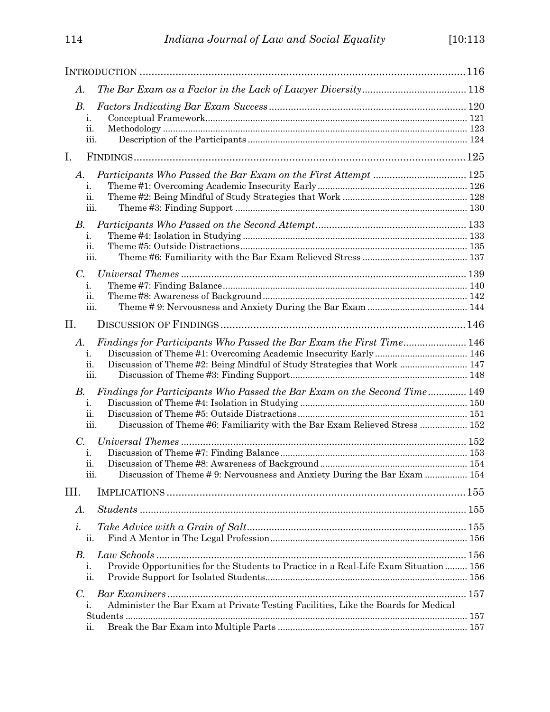| A.          |                                                                                             |  |
|-------------|---------------------------------------------------------------------------------------------|--|
| В.          |                                                                                             |  |
|             | i.                                                                                          |  |
|             | ii.                                                                                         |  |
|             | ш.                                                                                          |  |
| I.          |                                                                                             |  |
| A.          |                                                                                             |  |
|             | 1.                                                                                          |  |
|             | ii.                                                                                         |  |
|             | iii.                                                                                        |  |
| В.          |                                                                                             |  |
|             | i.                                                                                          |  |
|             | ii.                                                                                         |  |
|             | 111.                                                                                        |  |
| $C_{\cdot}$ |                                                                                             |  |
|             | i.                                                                                          |  |
|             | 11.                                                                                         |  |
|             | iii.                                                                                        |  |
| II.         |                                                                                             |  |
| A.          | Findings for Participants Who Passed the Bar Exam the First Time 146                        |  |
|             | i.                                                                                          |  |
|             | Discussion of Theme #2: Being Mindful of Study Strategies that Work  147<br>ii.             |  |
|             | iii.                                                                                        |  |
| $B_{\cdot}$ | Findings for Participants Who Passed the Bar Exam on the Second Time 149                    |  |
|             | i.                                                                                          |  |
|             | 11.                                                                                         |  |
|             | Discussion of Theme #6: Familiarity with the Bar Exam Relieved Stress  152<br>iii.          |  |
|             |                                                                                             |  |
| $C_{\cdot}$ |                                                                                             |  |
|             | i.                                                                                          |  |
|             | ii.<br>Discussion of Theme #9: Nervousness and Anxiety During the Bar Exam  154<br>111.     |  |
|             |                                                                                             |  |
| III.        |                                                                                             |  |
| А.          |                                                                                             |  |
| i.          |                                                                                             |  |
|             | ii.                                                                                         |  |
| В.          |                                                                                             |  |
|             | Provide Opportunities for the Students to Practice in a Real-Life Exam Situation  156<br>i. |  |
|             | ii.                                                                                         |  |
| C.          |                                                                                             |  |
|             | Administer the Bar Exam at Private Testing Facilities, Like the Boards for Medical<br>1.    |  |
|             |                                                                                             |  |
|             | 11.                                                                                         |  |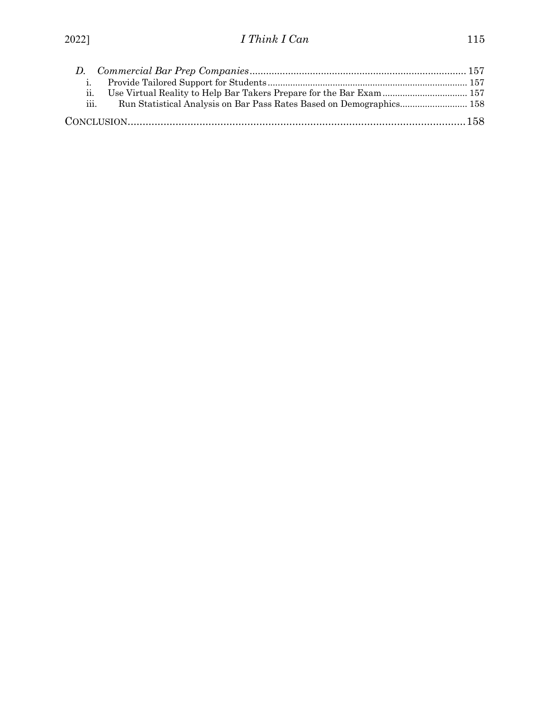| $\mathbf{1}$ .            |                                                                      |  |
|---------------------------|----------------------------------------------------------------------|--|
| $\overline{\mathbf{u}}$ . | Use Virtual Reality to Help Bar Takers Prepare for the Bar Exam  157 |  |
| iii.                      |                                                                      |  |
|                           |                                                                      |  |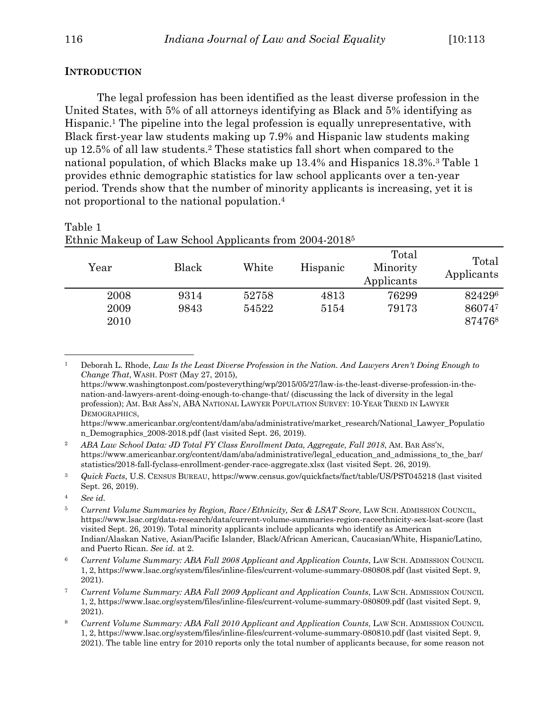#### **INTRODUCTION**

The legal profession has been identified as the least diverse profession in the United States, with 5% of all attorneys identifying as Black and 5% identifying as Hispanic.1 The pipeline into the legal profession is equally unrepresentative, with Black first-year law students making up 7.9% and Hispanic law students making up 12.5% of all law students.2 These statistics fall short when compared to the national population, of which Blacks make up 13.4% and Hispanics 18.3%.3 Table 1 provides ethnic demographic statistics for law school applicants over a ten-year period. Trends show that the number of minority applicants is increasing, yet it is not proportional to the national population.4

| Year                 | Black        | White          | Hispanic     | Total<br>Minority<br>Applicants | Total<br>Applicants        |
|----------------------|--------------|----------------|--------------|---------------------------------|----------------------------|
| 2008<br>2009<br>2010 | 9314<br>9843 | 52758<br>54522 | 4813<br>5154 | 76299<br>79173                  | 824296<br>860747<br>874768 |

# Table 1 Ethnic Makeup of Law School Applicants from 2004-20185

<sup>1</sup> Deborah L. Rhode, *Law Is the Least Diverse Profession in the Nation. And Lawyers Aren't Doing Enough to Change That*, WASH. POST (May 27, 2015), https://www.washingtonpost.com/posteverything/wp/2015/05/27/law-is-the-least-diverse-profession-in-the-

nation-and-lawyers-arent-doing-enough-to-change-that/ (discussing the lack of diversity in the legal profession); AM. BAR Ass'N, ABA NATIONAL LAWYER POPULATION SURVEY: 10-YEAR TREND IN LAWYER DEMOGRAPHICS,

https://www.americanbar.org/content/dam/aba/administrative/market\_research/National\_Lawyer\_Populatio n\_Demographics\_2008-2018.pdf (last visited Sept. 26, 2019).

<sup>2</sup> *ABA Law School Data: JD Total FY Class Enrollment Data, Aggregate, Fall 2018*, AM. BAR ASS'N, https://www.americanbar.org/content/dam/aba/administrative/legal\_education\_and\_admissions\_to\_the\_bar/ statistics/2018-fall-fyclass-enrollment-gender-race-aggregate.xlsx (last visited Sept. 26, 2019).

<sup>3</sup> *Quick Facts*, U.S. CENSUS BUREAU, https://www.census.gov/quickfacts/fact/table/US/PST045218 (last visited Sept. 26, 2019).

<sup>4</sup> *See id.*

<sup>5</sup> *Current Volume Summaries by Region, Race/Ethnicity, Sex & LSAT Score*, LAW SCH. ADMISSION COUNCIL, https://www.lsac.org/data-research/data/current-volume-summaries-region-raceethnicity-sex-lsat-score (last visited Sept. 26, 2019). Total minority applicants include applicants who identify as American Indian/Alaskan Native, Asian/Pacific Islander, Black/African American, Caucasian/White, Hispanic/Latino, and Puerto Rican. *See id.* at 2.

<sup>6</sup> *Current Volume Summary: ABA Fall 2008 Applicant and Application Counts*, LAW SCH. ADMISSION COUNCIL 1, 2, https://www.lsac.org/system/files/inline-files/current-volume-summary-080808.pdf (last visited Sept. 9, 2021).

<sup>7</sup> *Current Volume Summary: ABA Fall 2009 Applicant and Application Counts*, LAW SCH. ADMISSION COUNCIL 1, 2, https://www.lsac.org/system/files/inline-files/current-volume-summary-080809.pdf (last visited Sept. 9, 2021).

<sup>8</sup> *Current Volume Summary: ABA Fall 2010 Applicant and Application Counts*, LAW SCH. ADMISSION COUNCIL 1, 2, https://www.lsac.org/system/files/inline-files/current-volume-summary-080810.pdf (last visited Sept. 9, 2021). The table line entry for 2010 reports only the total number of applicants because, for some reason not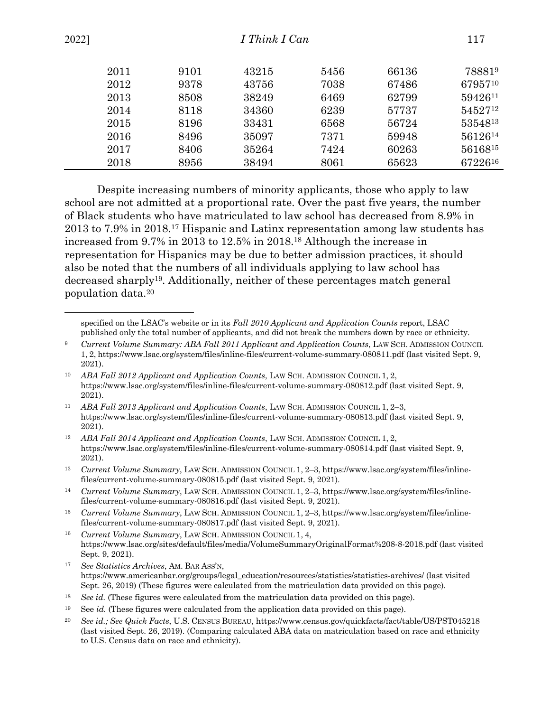| 2022] | I Think I Can |      |       |      |       | 117     |  |
|-------|---------------|------|-------|------|-------|---------|--|
|       | 2011          | 9101 | 43215 | 5456 | 66136 | 788819  |  |
|       | 2012          | 9378 | 43756 | 7038 | 67486 | 6795710 |  |
|       | 2013          | 8508 | 38249 | 6469 | 62799 | 5942611 |  |
|       | 2014          | 8118 | 34360 | 6239 | 57737 | 5452712 |  |
|       | 2015          | 8196 | 33431 | 6568 | 56724 | 5354813 |  |
|       | 2016          | 8496 | 35097 | 7371 | 59948 | 5612614 |  |
|       | 2017          | 8406 | 35264 | 7424 | 60263 | 5616815 |  |
|       | 2018          | 8956 | 38494 | 8061 | 65623 | 6722616 |  |

Despite increasing numbers of minority applicants, those who apply to law school are not admitted at a proportional rate. Over the past five years, the number of Black students who have matriculated to law school has decreased from 8.9% in 2013 to 7.9% in 2018.17 Hispanic and Latinx representation among law students has increased from 9.7% in 2013 to 12.5% in 2018.18 Although the increase in representation for Hispanics may be due to better admission practices, it should also be noted that the numbers of all individuals applying to law school has decreased sharply19. Additionally, neither of these percentages match general population data.20

specified on the LSAC's website or in its *Fall 2010 Applicant and Application Counts* report, LSAC published only the total number of applicants, and did not break the numbers down by race or ethnicity.

- <sup>11</sup> *ABA Fall 2013 Applicant and Application Counts*, LAW SCH. ADMISSION COUNCIL 1, 2–3, https://www.lsac.org/system/files/inline-files/current-volume-summary-080813.pdf (last visited Sept. 9, 2021).
- <sup>12</sup> *ABA Fall 2014 Applicant and Application Counts*, LAW SCH. ADMISSION COUNCIL 1, 2, https://www.lsac.org/system/files/inline-files/current-volume-summary-080814.pdf (last visited Sept. 9, 2021).
- <sup>13</sup> *Current Volume Summary*, LAW SCH. ADMISSION COUNCIL 1, 2–3, https://www.lsac.org/system/files/inlinefiles/current-volume-summary-080815.pdf (last visited Sept. 9, 2021).

<sup>16</sup> *Current Volume Summary*, LAW SCH. ADMISSION COUNCIL 1, 4, https://www.lsac.org/sites/default/files/media/VolumeSummaryOriginalFormat%208-8-2018.pdf (last visited Sept. 9, 2021).

- <sup>17</sup> *See Statistics Archives*, AM. BAR ASS'N, https://www.americanbar.org/groups/legal\_education/resources/statistics/statistics-archives/ (last visited Sept. 26, 2019) (These figures were calculated from the matriculation data provided on this page).
- <sup>18</sup> *See id.* (These figures were calculated from the matriculation data provided on this page).
- <sup>19</sup> See *id.* (These figures were calculated from the application data provided on this page).
- <sup>20</sup> *See id.; See Quick Facts*, U.S. CENSUS BUREAU, https://www.census.gov/quickfacts/fact/table/US/PST045218 (last visited Sept. 26, 2019). (Comparing calculated ABA data on matriculation based on race and ethnicity to U.S. Census data on race and ethnicity).

<sup>9</sup> *Current Volume Summary: ABA Fall 2011 Applicant and Application Counts*, LAW SCH. ADMISSION COUNCIL 1, 2, https://www.lsac.org/system/files/inline-files/current-volume-summary-080811.pdf (last visited Sept. 9, 2021).

<sup>10</sup> *ABA Fall 2012 Applicant and Application Counts*, LAW SCH. ADMISSION COUNCIL 1, 2, https://www.lsac.org/system/files/inline-files/current-volume-summary-080812.pdf (last visited Sept. 9, 2021).

<sup>14</sup> *Current Volume Summary*, LAW SCH. ADMISSION COUNCIL 1, 2–3, https://www.lsac.org/system/files/inlinefiles/current-volume-summary-080816.pdf (last visited Sept. 9, 2021).

<sup>15</sup> *Current Volume Summary*, LAW SCH. ADMISSION COUNCIL 1, 2–3, https://www.lsac.org/system/files/inlinefiles/current-volume-summary-080817.pdf (last visited Sept. 9, 2021).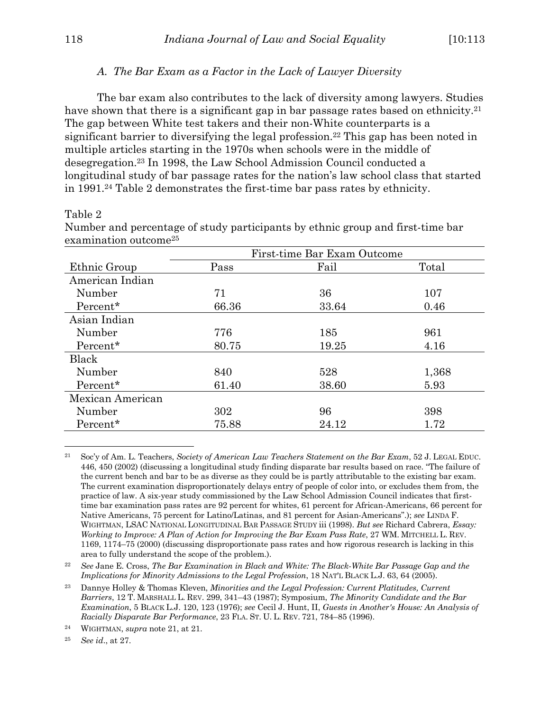#### *A. The Bar Exam as a Factor in the Lack of Lawyer Diversity*

The bar exam also contributes to the lack of diversity among lawyers. Studies have shown that there is a significant gap in bar passage rates based on ethnicity.<sup>21</sup> The gap between White test takers and their non-White counterparts is a significant barrier to diversifying the legal profession.22 This gap has been noted in multiple articles starting in the 1970s when schools were in the middle of desegregation.23 In 1998, the Law School Admission Council conducted a longitudinal study of bar passage rates for the nation's law school class that started in 1991.24 Table 2 demonstrates the first-time bar pass rates by ethnicity.

#### Table 2

|                  | First-time Bar Exam Outcome |       |       |  |  |
|------------------|-----------------------------|-------|-------|--|--|
| Ethnic Group     | Pass                        | Fail  | Total |  |  |
| American Indian  |                             |       |       |  |  |
| Number           | 71                          | 36    | 107   |  |  |
| Percent*         | 66.36                       | 33.64 | 0.46  |  |  |
| Asian Indian     |                             |       |       |  |  |
| Number           | 776                         | 185   | 961   |  |  |
| Percent*         | 80.75                       | 19.25 | 4.16  |  |  |
| Black            |                             |       |       |  |  |
| Number           | 840                         | 528   | 1,368 |  |  |
| Percent*         | 61.40                       | 38.60 | 5.93  |  |  |
| Mexican American |                             |       |       |  |  |
| Number           | 302                         | 96    | 398   |  |  |
| Percent*         | 75.88                       | 24.12 | 1.72  |  |  |

Number and percentage of study participants by ethnic group and first-time bar examination outcome25

<sup>25</sup> *See id*., at 27.

<sup>21</sup> Soc'y of Am. L. Teachers, *Society of American Law Teachers Statement on the Bar Exam*, 52 J. LEGAL EDUC. 446, 450 (2002) (discussing a longitudinal study finding disparate bar results based on race. "The failure of the current bench and bar to be as diverse as they could be is partly attributable to the existing bar exam. The current examination disproportionately delays entry of people of color into, or excludes them from, the practice of law. A six-year study commissioned by the Law School Admission Council indicates that firsttime bar examination pass rates are 92 percent for whites, 61 percent for African-Americans, 66 percent for Native Americans, 75 percent for Latino/Latinas, and 81 percent for Asian-Americans".); *see* LINDA F. WIGHTMAN, LSAC NATIONAL LONGITUDINAL BAR PASSAGE STUDY iii (1998). *But see* Richard Cabrera, *Essay: Working to Improve: A Plan of Action for Improving the Bar Exam Pass Rate, 27 WM. MITCHELL L. REV.* 1169, 1174–75 (2000) (discussing disproportionate pass rates and how rigorous research is lacking in this area to fully understand the scope of the problem.).

<sup>22</sup> *See* Jane E. Cross, *The Bar Examination in Black and White: The Black-White Bar Passage Gap and the Implications for Minority Admissions to the Legal Profession*, 18 NAT'L BLACK L.J. 63, 64 (2005).

<sup>23</sup> Dannye Holley & Thomas Kleven, *Minorities and the Legal Profession: Current Platitudes, Current Barriers*, 12 T. MARSHALL L. REV. 299, 341–43 (1987); Symposium, *The Minority Candidate and the Bar Examination*, 5 BLACK L.J. 120, 123 (1976); *see* Cecil J. Hunt, II, *Guests in Another's House: An Analysis of Racially Disparate Bar Performance*, 23 FLA. ST. U. L. REV. 721, 784–85 (1996).

<sup>24</sup> WIGHTMAN, *supra* note 21, at 21.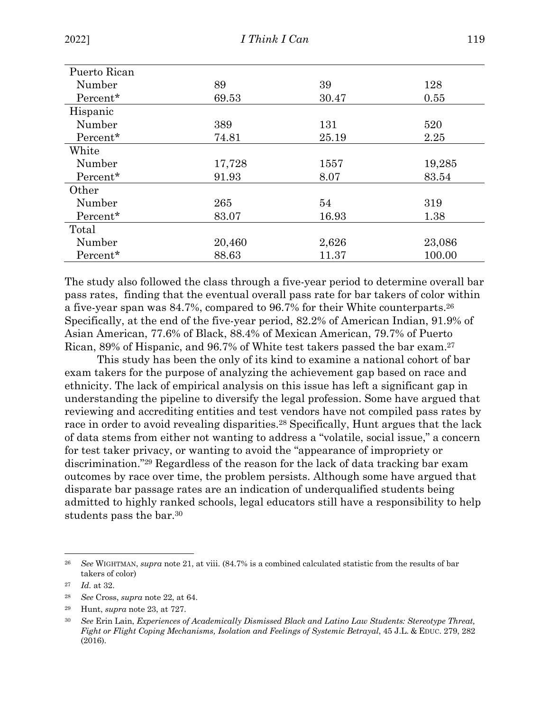| Puerto Rican |        |       |        |  |  |
|--------------|--------|-------|--------|--|--|
| Number       | 89     | 39    | 128    |  |  |
| Percent*     | 69.53  | 30.47 | 0.55   |  |  |
| Hispanic     |        |       |        |  |  |
| Number       | 389    | 131   | 520    |  |  |
| Percent*     | 74.81  | 25.19 | 2.25   |  |  |
| White        |        |       |        |  |  |
| Number       | 17,728 | 1557  | 19,285 |  |  |
| Percent*     | 91.93  | 8.07  | 83.54  |  |  |
| Other        |        |       |        |  |  |
| Number       | 265    | 54    | 319    |  |  |
| Percent*     | 83.07  | 16.93 | 1.38   |  |  |
| Total        |        |       |        |  |  |
| Number       | 20,460 | 2,626 | 23,086 |  |  |
| Percent*     | 88.63  | 11.37 | 100.00 |  |  |

The study also followed the class through a five-year period to determine overall bar pass rates, finding that the eventual overall pass rate for bar takers of color within a five-year span was 84.7%, compared to 96.7% for their White counterparts.26 Specifically, at the end of the five-year period, 82.2% of American Indian, 91.9% of Asian American, 77.6% of Black, 88.4% of Mexican American, 79.7% of Puerto Rican, 89% of Hispanic, and 96.7% of White test takers passed the bar exam.27

This study has been the only of its kind to examine a national cohort of bar exam takers for the purpose of analyzing the achievement gap based on race and ethnicity. The lack of empirical analysis on this issue has left a significant gap in understanding the pipeline to diversify the legal profession. Some have argued that reviewing and accrediting entities and test vendors have not compiled pass rates by race in order to avoid revealing disparities.<sup>28</sup> Specifically, Hunt argues that the lack of data stems from either not wanting to address a "volatile, social issue," a concern for test taker privacy, or wanting to avoid the "appearance of impropriety or discrimination."29 Regardless of the reason for the lack of data tracking bar exam outcomes by race over time, the problem persists. Although some have argued that disparate bar passage rates are an indication of underqualified students being admitted to highly ranked schools, legal educators still have a responsibility to help students pass the bar.30

<sup>26</sup> *See* WIGHTMAN, *supra* note 21, at viii. (84.7% is a combined calculated statistic from the results of bar takers of color)

<sup>27</sup> *Id.* at 32.

<sup>28</sup> *See* Cross, *supra* note 22, at 64.

<sup>29</sup> Hunt, *supra* note 23, at 727.

<sup>30</sup> *See* Erin Lain, *Experiences of Academically Dismissed Black and Latino Law Students: Stereotype Threat, Fight or Flight Coping Mechanisms, Isolation and Feelings of Systemic Betrayal*, 45 J.L. & EDUC. 279, 282 (2016).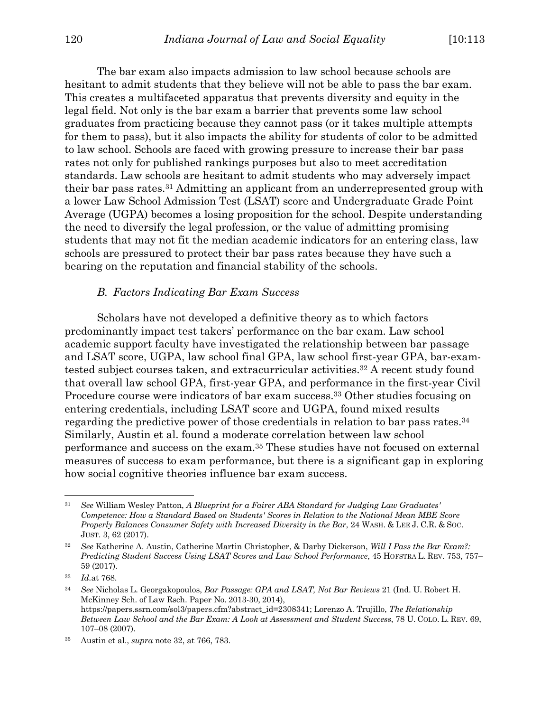The bar exam also impacts admission to law school because schools are hesitant to admit students that they believe will not be able to pass the bar exam. This creates a multifaceted apparatus that prevents diversity and equity in the legal field. Not only is the bar exam a barrier that prevents some law school graduates from practicing because they cannot pass (or it takes multiple attempts for them to pass), but it also impacts the ability for students of color to be admitted to law school. Schools are faced with growing pressure to increase their bar pass rates not only for published rankings purposes but also to meet accreditation standards. Law schools are hesitant to admit students who may adversely impact their bar pass rates.31 Admitting an applicant from an underrepresented group with a lower Law School Admission Test (LSAT) score and Undergraduate Grade Point Average (UGPA) becomes a losing proposition for the school. Despite understanding the need to diversify the legal profession, or the value of admitting promising students that may not fit the median academic indicators for an entering class, law schools are pressured to protect their bar pass rates because they have such a bearing on the reputation and financial stability of the schools.

#### *B. Factors Indicating Bar Exam Success*

Scholars have not developed a definitive theory as to which factors predominantly impact test takers' performance on the bar exam. Law school academic support faculty have investigated the relationship between bar passage and LSAT score, UGPA, law school final GPA, law school first-year GPA, bar-examtested subject courses taken, and extracurricular activities.32 A recent study found that overall law school GPA, first-year GPA, and performance in the first-year Civil Procedure course were indicators of bar exam success.<sup>33</sup> Other studies focusing on entering credentials, including LSAT score and UGPA, found mixed results regarding the predictive power of those credentials in relation to bar pass rates.34 Similarly, Austin et al. found a moderate correlation between law school performance and success on the exam.35 These studies have not focused on external measures of success to exam performance, but there is a significant gap in exploring how social cognitive theories influence bar exam success.

<sup>31</sup> *See* William Wesley Patton, *A Blueprint for a Fairer ABA Standard for Judging Law Graduates' Competence: How a Standard Based on Students' Scores in Relation to the National Mean MBE Score Properly Balances Consumer Safety with Increased Diversity in the Bar*, 24 WASH. & LEE J. C.R. & SOC. JUST. 3, 62 (2017).

<sup>32</sup> *See* Katherine A. Austin, Catherine Martin Christopher, & Darby Dickerson, *Will I Pass the Bar Exam?: Predicting Student Success Using LSAT Scores and Law School Performance*, 45 HOFSTRA L. REV. 753, 757– 59 (2017).

<sup>33</sup> *Id.*at 768.

<sup>34</sup> *See* Nicholas L. Georgakopoulos, *Bar Passage: GPA and LSAT, Not Bar Reviews* 21 (Ind. U. Robert H. McKinney Sch. of Law Rsch. Paper No. 2013-30, 2014), https://papers.ssrn.com/sol3/papers.cfm?abstract\_id=2308341; Lorenzo A. Trujillo, *The Relationship Between Law School and the Bar Exam: A Look at Assessment and Student Success*, 78 U. COLO. L. REV. 69, 107–08 (2007).

<sup>35</sup> Austin et al., *supra* note 32, at 766, 783.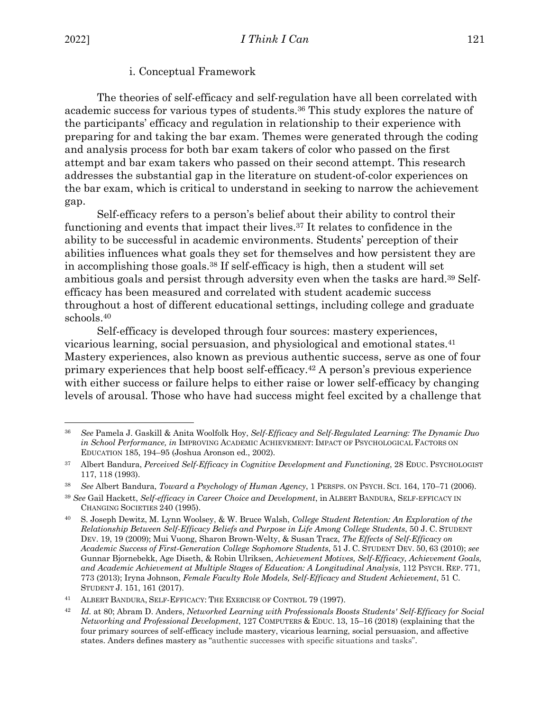#### i. Conceptual Framework

The theories of self-efficacy and self-regulation have all been correlated with academic success for various types of students.36 This study explores the nature of the participants' efficacy and regulation in relationship to their experience with preparing for and taking the bar exam. Themes were generated through the coding and analysis process for both bar exam takers of color who passed on the first attempt and bar exam takers who passed on their second attempt. This research addresses the substantial gap in the literature on student-of-color experiences on the bar exam, which is critical to understand in seeking to narrow the achievement gap.

Self-efficacy refers to a person's belief about their ability to control their functioning and events that impact their lives.37 It relates to confidence in the ability to be successful in academic environments. Students' perception of their abilities influences what goals they set for themselves and how persistent they are in accomplishing those goals.38 If self-efficacy is high, then a student will set ambitious goals and persist through adversity even when the tasks are hard.39 Selfefficacy has been measured and correlated with student academic success throughout a host of different educational settings, including college and graduate schools.40

Self-efficacy is developed through four sources: mastery experiences, vicarious learning, social persuasion, and physiological and emotional states.41 Mastery experiences, also known as previous authentic success, serve as one of four primary experiences that help boost self-efficacy.42 A person's previous experience with either success or failure helps to either raise or lower self-efficacy by changing levels of arousal. Those who have had success might feel excited by a challenge that

<sup>36</sup> *See* Pamela J. Gaskill & Anita Woolfolk Hoy, *Self-Efficacy and Self-Regulated Learning: The Dynamic Duo in School Performance, in* IMPROVING ACADEMIC ACHIEVEMENT: IMPACT OF PSYCHOLOGICAL FACTORS ON EDUCATION 185, 194–95 (Joshua Aronson ed., 2002).

<sup>37</sup> Albert Bandura, *Perceived Self-Efficacy in Cognitive Development and Functioning*, 28 EDUC. PSYCHOLOGIST 117, 118 (1993).

<sup>38</sup> *See* Albert Bandura, *Toward a Psychology of Human Agency*, 1 PERSPS. ON PSYCH. SCI. 164, 170–71 (2006).

<sup>39</sup> *See* Gail Hackett, *Self-efficacy in Career Choice and Development*, in ALBERT BANDURA, SELF-EFFICACY IN CHANGING SOCIETIES 240 (1995).

<sup>40</sup> S. Joseph Dewitz, M. Lynn Woolsey, & W. Bruce Walsh, *College Student Retention: An Exploration of the Relationship Between Self-Efficacy Beliefs and Purpose in Life Among College Students*, 50 J. C. STUDENT DEV. 19, 19 (2009); Mui Vuong, Sharon Brown-Welty, & Susan Tracz, *The Effects of Self-Efficacy on Academic Success of First-Generation College Sophomore Students*, 51 J. C. STUDENT DEV. 50, 63 (2010); *see* Gunnar Bjornebekk, Age Diseth, & Robin Ulriksen, *Achievement Motives, Self-Efficacy, Achievement Goals, and Academic Achievement at Multiple Stages of Education: A Longitudinal Analysis*, 112 PSYCH. REP. 771, 773 (2013); Iryna Johnson, *Female Faculty Role Models, Self-Efficacy and Student Achievement*, 51 C. STUDENT J. 151, 161 (2017).

<sup>41</sup> ALBERT BANDURA, SELF-EFFICACY: THE EXERCISE OF CONTROL 79 (1997).

<sup>42</sup> *Id.* at 80; Abram D. Anders, *Networked Learning with Professionals Boosts Students' Self-Efficacy for Social Networking and Professional Development*, 127 COMPUTERS & EDUC. 13, 15–16 (2018) (explaining that the four primary sources of self-efficacy include mastery, vicarious learning, social persuasion, and affective states. Anders defines mastery as "authentic successes with specific situations and tasks".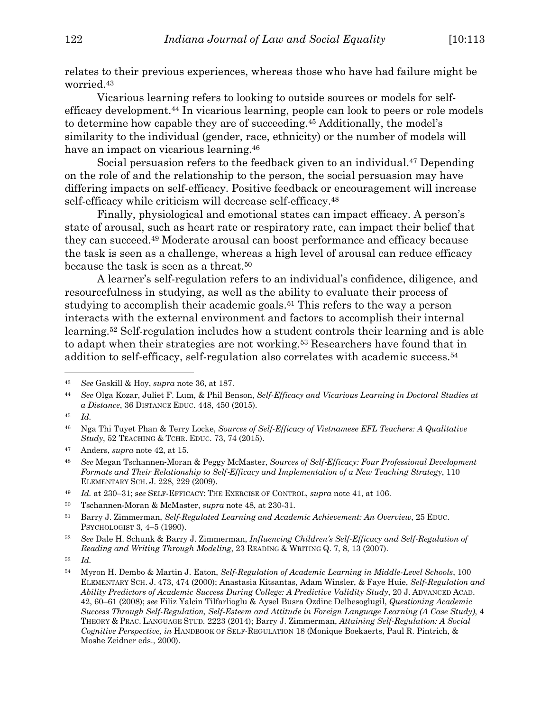relates to their previous experiences, whereas those who have had failure might be worried.43

Vicarious learning refers to looking to outside sources or models for selfefficacy development.44 In vicarious learning, people can look to peers or role models to determine how capable they are of succeeding.45 Additionally, the model's similarity to the individual (gender, race, ethnicity) or the number of models will have an impact on vicarious learning.<sup>46</sup>

Social persuasion refers to the feedback given to an individual.<sup>47</sup> Depending on the role of and the relationship to the person, the social persuasion may have differing impacts on self-efficacy. Positive feedback or encouragement will increase self-efficacy while criticism will decrease self-efficacy.<sup>48</sup>

Finally, physiological and emotional states can impact efficacy. A person's state of arousal, such as heart rate or respiratory rate, can impact their belief that they can succeed.49 Moderate arousal can boost performance and efficacy because the task is seen as a challenge, whereas a high level of arousal can reduce efficacy because the task is seen as a threat.50

A learner's self-regulation refers to an individual's confidence, diligence, and resourcefulness in studying, as well as the ability to evaluate their process of studying to accomplish their academic goals.51 This refers to the way a person interacts with the external environment and factors to accomplish their internal learning.52 Self-regulation includes how a student controls their learning and is able to adapt when their strategies are not working.53 Researchers have found that in addition to self-efficacy, self-regulation also correlates with academic success.54

<sup>43</sup> *See* Gaskill & Hoy, *supra* note 36, at 187.

<sup>44</sup> *See* Olga Kozar, Juliet F. Lum, & Phil Benson, *Self-Efficacy and Vicarious Learning in Doctoral Studies at a Distance*, 36 DISTANCE EDUC. 448, 450 (2015).

<sup>45</sup> *Id.*

<sup>46</sup> Nga Thi Tuyet Phan & Terry Locke, *Sources of Self-Efficacy of Vietnamese EFL Teachers: A Qualitative Study*, 52 TEACHING & TCHR. EDUC. 73, 74 (2015).

<sup>47</sup> Anders, *supra* note 42, at 15.

<sup>48</sup> *See* Megan Tschannen-Moran & Peggy McMaster, *Sources of Self*-*Efficacy: Four Professional Development Formats and Their Relationship to Self*-*Efficacy and Implementation of a New Teaching Strategy*, 110 ELEMENTARY SCH. J. 228, 229 (2009).

<sup>49</sup> *Id.* at 230–31; s*ee* SELF-EFFICACY: THE EXERCISE OF CONTROL, *supra* note 41, at 106.

<sup>50</sup> Tschannen-Moran & McMaster, *supra* note 48, at 230-31.

<sup>51</sup> Barry J. Zimmerman, *Self-Regulated Learning and Academic Achievement: An Overview*, 25 EDUC. PSYCHOLOGIST 3, 4–5 (1990).

<sup>52</sup> *See* Dale H. Schunk & Barry J. Zimmerman, *Influencing Children's Self-Efficacy and Self-Regulation of Reading and Writing Through Modeling*, 23 READING & WRITING Q. 7, 8, 13 (2007).

<sup>53</sup> *Id.*

<sup>54</sup> Myron H. Dembo & Martin J. Eaton, *Self-Regulation of Academic Learning in Middle-Level Schools*, 100 ELEMENTARY SCH. J. 473, 474 (2000); Anastasia Kitsantas, Adam Winsler, & Faye Huie, *Self-Regulation and Ability Predictors of Academic Success During College: A Predictive Validity Study*, 20 J. ADVANCED ACAD. 42, 60–61 (2008); *see* Filiz Yalcin Tilfarlioglu & Aysel Busra Ozdinc Delbesoglugil, *Questioning Academic Success Through Self-Regulation, Self-Esteem and Attitude in Foreign Language Learning (A Case Study)*, 4 THEORY & PRAC. LANGUAGE STUD*.* 2223 (2014); Barry J. Zimmerman, *Attaining Self-Regulation: A Social Cognitive Perspective, in* HANDBOOK OF SELF-REGULATION 18 (Monique Boekaerts, Paul R. Pintrich, & Moshe Zeidner eds., 2000).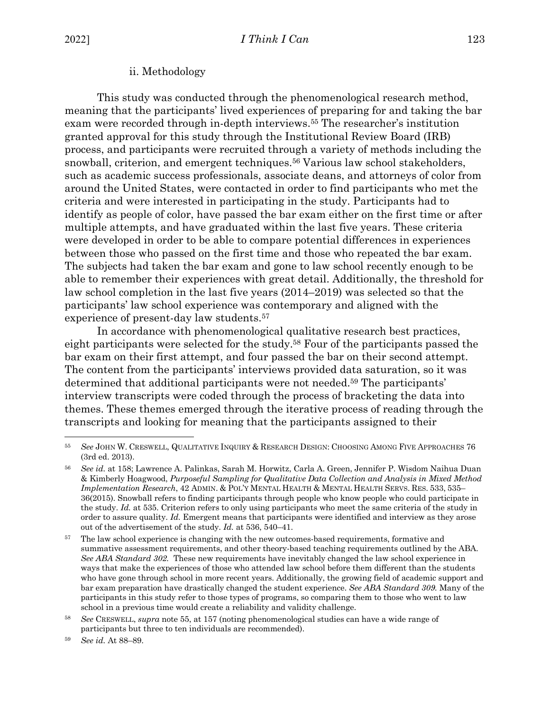#### ii. Methodology

This study was conducted through the phenomenological research method, meaning that the participants' lived experiences of preparing for and taking the bar exam were recorded through in-depth interviews.55 The researcher's institution granted approval for this study through the Institutional Review Board (IRB) process, and participants were recruited through a variety of methods including the snowball, criterion, and emergent techniques.<sup>56</sup> Various law school stakeholders, such as academic success professionals, associate deans, and attorneys of color from around the United States, were contacted in order to find participants who met the criteria and were interested in participating in the study. Participants had to identify as people of color, have passed the bar exam either on the first time or after multiple attempts, and have graduated within the last five years. These criteria were developed in order to be able to compare potential differences in experiences between those who passed on the first time and those who repeated the bar exam. The subjects had taken the bar exam and gone to law school recently enough to be able to remember their experiences with great detail. Additionally, the threshold for law school completion in the last five years (2014–2019) was selected so that the participants' law school experience was contemporary and aligned with the experience of present-day law students.57

In accordance with phenomenological qualitative research best practices, eight participants were selected for the study.58 Four of the participants passed the bar exam on their first attempt, and four passed the bar on their second attempt. The content from the participants' interviews provided data saturation, so it was determined that additional participants were not needed.59 The participants' interview transcripts were coded through the process of bracketing the data into themes. These themes emerged through the iterative process of reading through the transcripts and looking for meaning that the participants assigned to their

<sup>55</sup> *See* JOHN W. CRESWELL, QUALITATIVE INQUIRY & RESEARCH DESIGN: CHOOSING AMONG FIVE APPROACHES 76 (3rd ed. 2013).

<sup>56</sup> *See id.* at 158; Lawrence A. Palinkas, Sarah M. Horwitz, Carla A. Green, Jennifer P. Wisdom Naihua Duan & Kimberly Hoagwood, *Purposeful Sampling for Qualitative Data Collection and Analysis in Mixed Method Implementation Research*, 42 ADMIN. & POL'Y MENTAL HEALTH & MENTAL HEALTH SERVS. RES. 533, 535– 36(2015). Snowball refers to finding participants through people who know people who could participate in the study. *Id.* at 535. Criterion refers to only using participants who meet the same criteria of the study in order to assure quality. *Id.* Emergent means that participants were identified and interview as they arose out of the advertisement of the study. *Id.* at 536, 540–41.

<sup>&</sup>lt;sup>57</sup> The law school experience is changing with the new outcomes-based requirements, formative and summative assessment requirements, and other theory-based teaching requirements outlined by the ABA. *See ABA Standard 302.* These new requirements have inevitably changed the law school experience in ways that make the experiences of those who attended law school before them different than the students who have gone through school in more recent years. Additionally, the growing field of academic support and bar exam preparation have drastically changed the student experience. *See ABA Standard 309.* Many of the participants in this study refer to those types of programs, so comparing them to those who went to law school in a previous time would create a reliability and validity challenge.

<sup>58</sup> *See* CRESWELL, *supra* note 55, at 157 (noting phenomenological studies can have a wide range of participants but three to ten individuals are recommended).

<sup>59</sup> *See id.* At 88–89.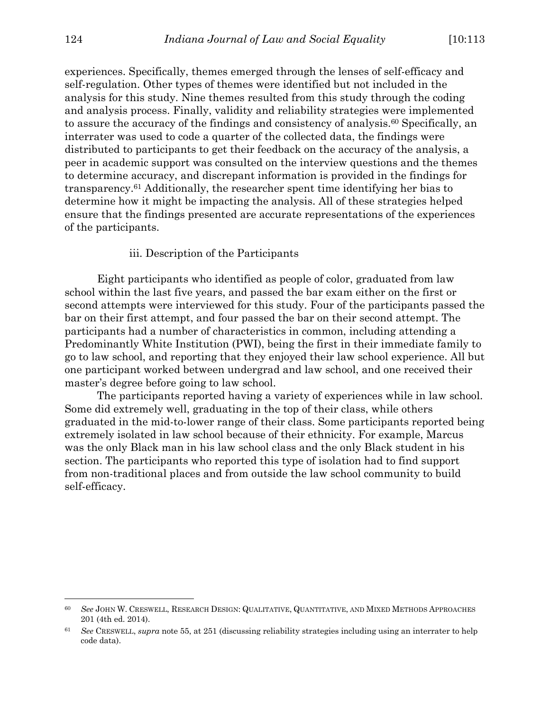experiences. Specifically, themes emerged through the lenses of self-efficacy and self-regulation. Other types of themes were identified but not included in the analysis for this study. Nine themes resulted from this study through the coding and analysis process. Finally, validity and reliability strategies were implemented to assure the accuracy of the findings and consistency of analysis.60 Specifically, an interrater was used to code a quarter of the collected data, the findings were distributed to participants to get their feedback on the accuracy of the analysis, a peer in academic support was consulted on the interview questions and the themes to determine accuracy, and discrepant information is provided in the findings for transparency.61 Additionally, the researcher spent time identifying her bias to determine how it might be impacting the analysis. All of these strategies helped ensure that the findings presented are accurate representations of the experiences of the participants.

#### iii. Description of the Participants

Eight participants who identified as people of color, graduated from law school within the last five years, and passed the bar exam either on the first or second attempts were interviewed for this study. Four of the participants passed the bar on their first attempt, and four passed the bar on their second attempt. The participants had a number of characteristics in common, including attending a Predominantly White Institution (PWI), being the first in their immediate family to go to law school, and reporting that they enjoyed their law school experience. All but one participant worked between undergrad and law school, and one received their master's degree before going to law school.

The participants reported having a variety of experiences while in law school. Some did extremely well, graduating in the top of their class, while others graduated in the mid-to-lower range of their class. Some participants reported being extremely isolated in law school because of their ethnicity. For example, Marcus was the only Black man in his law school class and the only Black student in his section. The participants who reported this type of isolation had to find support from non-traditional places and from outside the law school community to build self-efficacy.

<sup>60</sup> *See* JOHN W. CRESWELL, RESEARCH DESIGN: QUALITATIVE, QUANTITATIVE, AND MIXED METHODS APPROACHES 201 (4th ed. 2014).

<sup>61</sup> *See* CRESWELL, *supra* note 55, at 251 (discussing reliability strategies including using an interrater to help code data).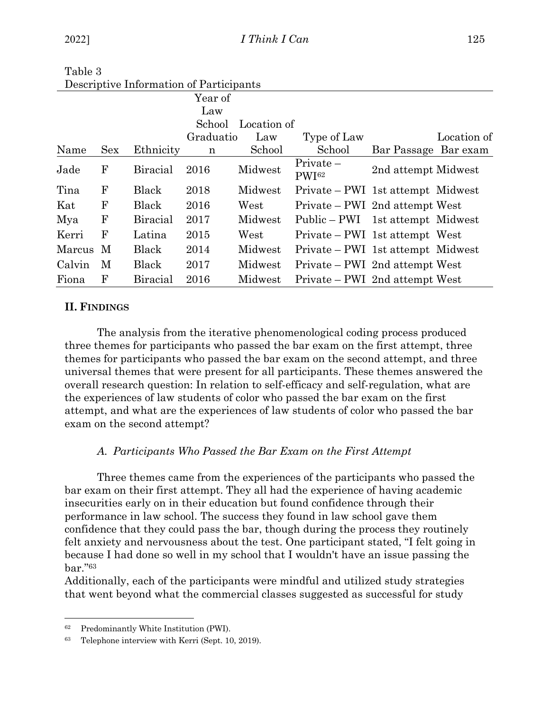|        |            | Descriptive information of Lafticipants |           |             |                                   |                      |             |
|--------|------------|-----------------------------------------|-----------|-------------|-----------------------------------|----------------------|-------------|
|        |            |                                         | Year of   |             |                                   |                      |             |
|        |            |                                         | Law       |             |                                   |                      |             |
|        |            |                                         | School    | Location of |                                   |                      |             |
|        |            |                                         | Graduatio | Law         | Type of Law                       |                      | Location of |
| Name   | <b>Sex</b> | Ethnicity                               | n         | School      | School                            | Bar Passage Bar exam |             |
| Jade   | F          | <b>Biracial</b>                         | 2016      | Midwest     | $Private-$<br>PW <sub>[62</sub>   | 2nd attempt Midwest  |             |
| Tina   | F          | Black                                   | 2018      | Midwest     | Private – PWI 1st attempt Midwest |                      |             |
| Kat    | F          | Black                                   | 2016      | West        | Private – PWI 2nd attempt West    |                      |             |
| Mya    | F          | <b>Biracial</b>                         | 2017      | Midwest     | Public – PWI 1st attempt Midwest  |                      |             |
| Kerri  | F          | Latina                                  | 2015      | West        | Private – PWI 1st attempt West    |                      |             |
| Marcus | M          | Black                                   | 2014      | Midwest     | Private – PWI 1st attempt Midwest |                      |             |
| Calvin | M          | Black                                   | 2017      | Midwest     | Private – PWI 2nd attempt West    |                      |             |
| Fiona  | F          | <b>Biracial</b>                         | 2016      | Midwest     | Private – PWI 2nd attempt West    |                      |             |

Table 3 Descriptive Information of Participants

# **II. FINDINGS**

The analysis from the iterative phenomenological coding process produced three themes for participants who passed the bar exam on the first attempt, three themes for participants who passed the bar exam on the second attempt, and three universal themes that were present for all participants. These themes answered the overall research question: In relation to self-efficacy and self-regulation, what are the experiences of law students of color who passed the bar exam on the first attempt, and what are the experiences of law students of color who passed the bar exam on the second attempt?

# *A. Participants Who Passed the Bar Exam on the First Attempt*

Three themes came from the experiences of the participants who passed the bar exam on their first attempt. They all had the experience of having academic insecurities early on in their education but found confidence through their performance in law school. The success they found in law school gave them confidence that they could pass the bar, though during the process they routinely felt anxiety and nervousness about the test. One participant stated, "I felt going in because I had done so well in my school that I wouldn't have an issue passing the bar."63

Additionally, each of the participants were mindful and utilized study strategies that went beyond what the commercial classes suggested as successful for study

<sup>62</sup> Predominantly White Institution (PWI).

<sup>63</sup> Telephone interview with Kerri (Sept. 10, 2019).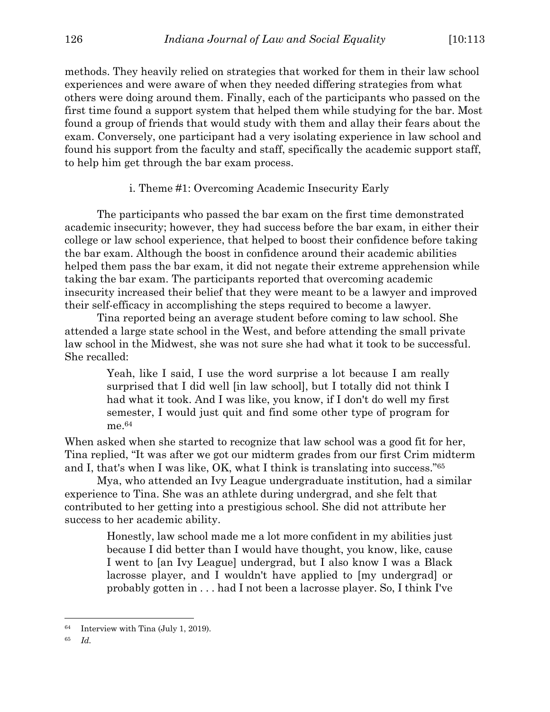methods. They heavily relied on strategies that worked for them in their law school experiences and were aware of when they needed differing strategies from what others were doing around them. Finally, each of the participants who passed on the first time found a support system that helped them while studying for the bar. Most found a group of friends that would study with them and allay their fears about the exam. Conversely, one participant had a very isolating experience in law school and found his support from the faculty and staff, specifically the academic support staff, to help him get through the bar exam process.

#### i. Theme #1: Overcoming Academic Insecurity Early

The participants who passed the bar exam on the first time demonstrated academic insecurity; however, they had success before the bar exam, in either their college or law school experience, that helped to boost their confidence before taking the bar exam. Although the boost in confidence around their academic abilities helped them pass the bar exam, it did not negate their extreme apprehension while taking the bar exam. The participants reported that overcoming academic insecurity increased their belief that they were meant to be a lawyer and improved their self-efficacy in accomplishing the steps required to become a lawyer.

Tina reported being an average student before coming to law school. She attended a large state school in the West, and before attending the small private law school in the Midwest, she was not sure she had what it took to be successful. She recalled:

> Yeah, like I said, I use the word surprise a lot because I am really surprised that I did well [in law school], but I totally did not think I had what it took. And I was like, you know, if I don't do well my first semester, I would just quit and find some other type of program for me.64

When asked when she started to recognize that law school was a good fit for her, Tina replied, "It was after we got our midterm grades from our first Crim midterm and I, that's when I was like, OK, what I think is translating into success."65

Mya, who attended an Ivy League undergraduate institution, had a similar experience to Tina. She was an athlete during undergrad, and she felt that contributed to her getting into a prestigious school. She did not attribute her success to her academic ability.

> Honestly, law school made me a lot more confident in my abilities just because I did better than I would have thought, you know, like, cause I went to [an Ivy League] undergrad, but I also know I was a Black lacrosse player, and I wouldn't have applied to [my undergrad] or probably gotten in . . . had I not been a lacrosse player. So, I think I've

<sup>64</sup> Interview with Tina (July 1, 2019).

<sup>65</sup> *Id.*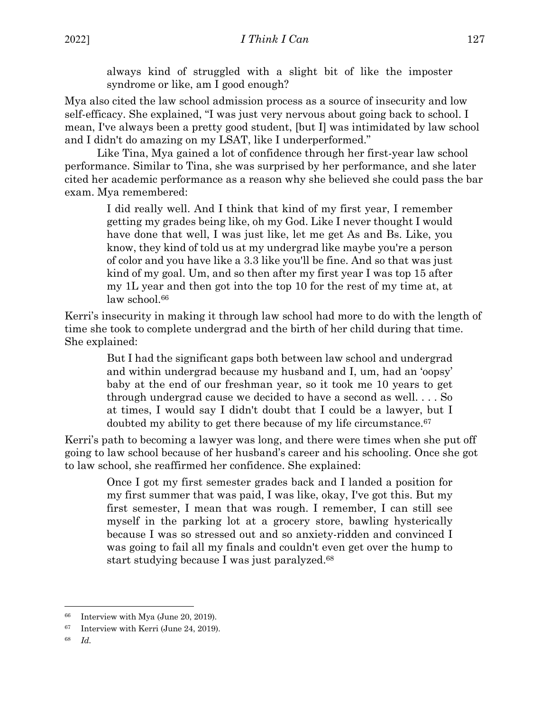always kind of struggled with a slight bit of like the imposter syndrome or like, am I good enough?

Mya also cited the law school admission process as a source of insecurity and low self-efficacy. She explained, "I was just very nervous about going back to school. I mean, I've always been a pretty good student, [but I] was intimidated by law school and I didn't do amazing on my LSAT, like I underperformed."

Like Tina, Mya gained a lot of confidence through her first-year law school performance. Similar to Tina, she was surprised by her performance, and she later cited her academic performance as a reason why she believed she could pass the bar exam. Mya remembered:

> I did really well. And I think that kind of my first year, I remember getting my grades being like, oh my God. Like I never thought I would have done that well, I was just like, let me get As and Bs. Like, you know, they kind of told us at my undergrad like maybe you're a person of color and you have like a 3.3 like you'll be fine. And so that was just kind of my goal. Um, and so then after my first year I was top 15 after my 1L year and then got into the top 10 for the rest of my time at, at law school.<sup>66</sup>

Kerri's insecurity in making it through law school had more to do with the length of time she took to complete undergrad and the birth of her child during that time. She explained:

> But I had the significant gaps both between law school and undergrad and within undergrad because my husband and I, um, had an 'oopsy' baby at the end of our freshman year, so it took me 10 years to get through undergrad cause we decided to have a second as well. . . . So at times, I would say I didn't doubt that I could be a lawyer, but I doubted my ability to get there because of my life circumstance.67

Kerri's path to becoming a lawyer was long, and there were times when she put off going to law school because of her husband's career and his schooling. Once she got to law school, she reaffirmed her confidence. She explained:

> Once I got my first semester grades back and I landed a position for my first summer that was paid, I was like, okay, I've got this. But my first semester, I mean that was rough. I remember, I can still see myself in the parking lot at a grocery store, bawling hysterically because I was so stressed out and so anxiety-ridden and convinced I was going to fail all my finals and couldn't even get over the hump to start studying because I was just paralyzed.68

<sup>66</sup> Interview with Mya (June 20, 2019).

<sup>67</sup> Interview with Kerri (June 24, 2019).

<sup>68</sup> *Id.*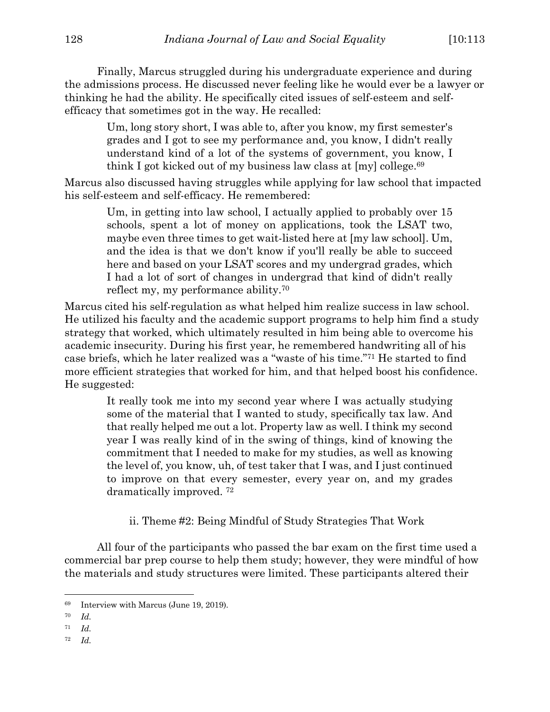Finally, Marcus struggled during his undergraduate experience and during the admissions process. He discussed never feeling like he would ever be a lawyer or thinking he had the ability. He specifically cited issues of self-esteem and selfefficacy that sometimes got in the way. He recalled:

> Um, long story short, I was able to, after you know, my first semester's grades and I got to see my performance and, you know, I didn't really understand kind of a lot of the systems of government, you know, I think I got kicked out of my business law class at [my] college.69

Marcus also discussed having struggles while applying for law school that impacted his self-esteem and self-efficacy. He remembered:

> Um, in getting into law school, I actually applied to probably over 15 schools, spent a lot of money on applications, took the LSAT two, maybe even three times to get wait-listed here at [my law school]. Um, and the idea is that we don't know if you'll really be able to succeed here and based on your LSAT scores and my undergrad grades, which I had a lot of sort of changes in undergrad that kind of didn't really reflect my, my performance ability.70

Marcus cited his self-regulation as what helped him realize success in law school. He utilized his faculty and the academic support programs to help him find a study strategy that worked, which ultimately resulted in him being able to overcome his academic insecurity. During his first year, he remembered handwriting all of his case briefs, which he later realized was a "waste of his time."71 He started to find more efficient strategies that worked for him, and that helped boost his confidence. He suggested:

> It really took me into my second year where I was actually studying some of the material that I wanted to study, specifically tax law. And that really helped me out a lot. Property law as well. I think my second year I was really kind of in the swing of things, kind of knowing the commitment that I needed to make for my studies, as well as knowing the level of, you know, uh, of test taker that I was, and I just continued to improve on that every semester, every year on, and my grades dramatically improved. 72

ii. Theme #2: Being Mindful of Study Strategies That Work

All four of the participants who passed the bar exam on the first time used a commercial bar prep course to help them study; however, they were mindful of how the materials and study structures were limited. These participants altered their

<sup>69</sup> Interview with Marcus (June 19, 2019).

<sup>70</sup> *Id.*

<sup>71</sup> *Id.*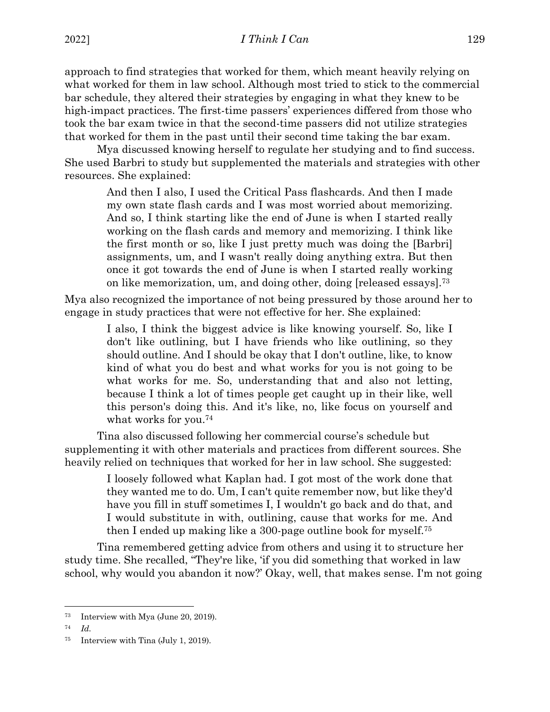approach to find strategies that worked for them, which meant heavily relying on what worked for them in law school. Although most tried to stick to the commercial bar schedule, they altered their strategies by engaging in what they knew to be high-impact practices. The first-time passers' experiences differed from those who took the bar exam twice in that the second-time passers did not utilize strategies that worked for them in the past until their second time taking the bar exam.

Mya discussed knowing herself to regulate her studying and to find success. She used Barbri to study but supplemented the materials and strategies with other resources. She explained:

> And then I also, I used the Critical Pass flashcards. And then I made my own state flash cards and I was most worried about memorizing. And so, I think starting like the end of June is when I started really working on the flash cards and memory and memorizing. I think like the first month or so, like I just pretty much was doing the [Barbri] assignments, um, and I wasn't really doing anything extra. But then once it got towards the end of June is when I started really working on like memorization, um, and doing other, doing [released essays].73

Mya also recognized the importance of not being pressured by those around her to engage in study practices that were not effective for her. She explained:

> I also, I think the biggest advice is like knowing yourself. So, like I don't like outlining, but I have friends who like outlining, so they should outline. And I should be okay that I don't outline, like, to know kind of what you do best and what works for you is not going to be what works for me. So, understanding that and also not letting, because I think a lot of times people get caught up in their like, well this person's doing this. And it's like, no, like focus on yourself and what works for you.74

Tina also discussed following her commercial course's schedule but supplementing it with other materials and practices from different sources. She heavily relied on techniques that worked for her in law school. She suggested:

> I loosely followed what Kaplan had. I got most of the work done that they wanted me to do. Um, I can't quite remember now, but like they'd have you fill in stuff sometimes I, I wouldn't go back and do that, and I would substitute in with, outlining, cause that works for me. And then I ended up making like a 300-page outline book for myself.75

Tina remembered getting advice from others and using it to structure her study time. She recalled, "They're like, 'if you did something that worked in law school, why would you abandon it now?' Okay, well, that makes sense. I'm not going

<sup>73</sup> Interview with Mya (June 20, 2019).

<sup>74</sup> *Id.*

<sup>75</sup> Interview with Tina (July 1, 2019).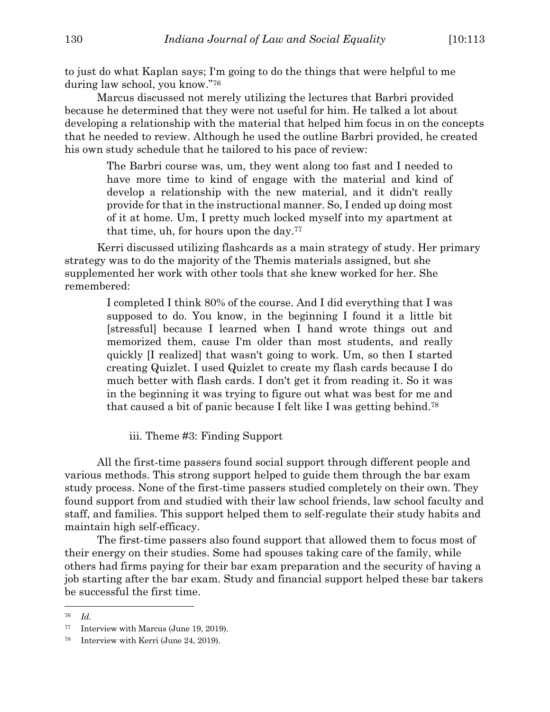to just do what Kaplan says; I'm going to do the things that were helpful to me during law school, you know."76

Marcus discussed not merely utilizing the lectures that Barbri provided because he determined that they were not useful for him. He talked a lot about developing a relationship with the material that helped him focus in on the concepts that he needed to review. Although he used the outline Barbri provided, he created his own study schedule that he tailored to his pace of review:

> The Barbri course was, um, they went along too fast and I needed to have more time to kind of engage with the material and kind of develop a relationship with the new material, and it didn't really provide for that in the instructional manner. So, I ended up doing most of it at home. Um, I pretty much locked myself into my apartment at that time, uh, for hours upon the day.77

Kerri discussed utilizing flashcards as a main strategy of study. Her primary strategy was to do the majority of the Themis materials assigned, but she supplemented her work with other tools that she knew worked for her. She remembered:

> I completed I think 80% of the course. And I did everything that I was supposed to do. You know, in the beginning I found it a little bit [stressful] because I learned when I hand wrote things out and memorized them, cause I'm older than most students, and really quickly [I realized] that wasn't going to work. Um, so then I started creating Quizlet. I used Quizlet to create my flash cards because I do much better with flash cards. I don't get it from reading it. So it was in the beginning it was trying to figure out what was best for me and that caused a bit of panic because I felt like I was getting behind.78

iii. Theme #3: Finding Support

All the first-time passers found social support through different people and various methods. This strong support helped to guide them through the bar exam study process. None of the first-time passers studied completely on their own. They found support from and studied with their law school friends, law school faculty and staff, and families. This support helped them to self-regulate their study habits and maintain high self-efficacy.

The first-time passers also found support that allowed them to focus most of their energy on their studies. Some had spouses taking care of the family, while others had firms paying for their bar exam preparation and the security of having a job starting after the bar exam. Study and financial support helped these bar takers be successful the first time.

<sup>76</sup> *Id.*

<sup>77</sup> Interview with Marcus (June 19, 2019).

<sup>78</sup> Interview with Kerri (June 24, 2019).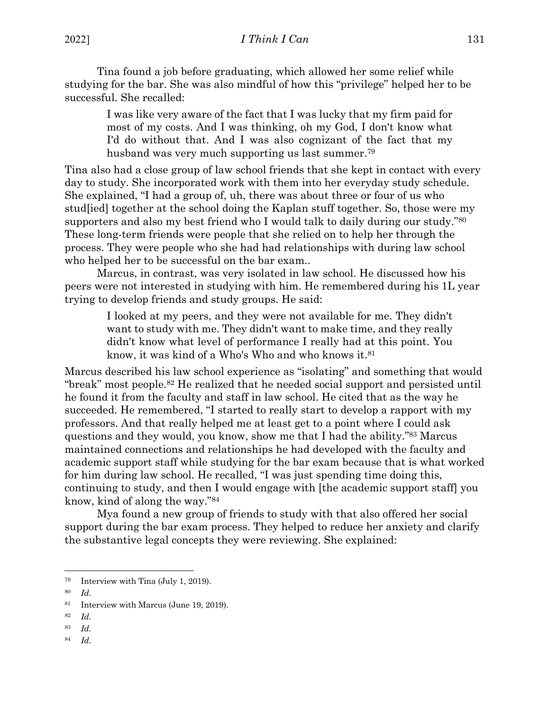Tina found a job before graduating, which allowed her some relief while studying for the bar. She was also mindful of how this "privilege" helped her to be successful. She recalled:

> I was like very aware of the fact that I was lucky that my firm paid for most of my costs. And I was thinking, oh my God, I don't know what I'd do without that. And I was also cognizant of the fact that my husband was very much supporting us last summer.79

Tina also had a close group of law school friends that she kept in contact with every day to study. She incorporated work with them into her everyday study schedule. She explained, "I had a group of, uh, there was about three or four of us who stud[ied] together at the school doing the Kaplan stuff together. So, those were my supporters and also my best friend who I would talk to daily during our study."80 These long-term friends were people that she relied on to help her through the process. They were people who she had had relationships with during law school who helped her to be successful on the bar exam..

Marcus, in contrast, was very isolated in law school. He discussed how his peers were not interested in studying with him. He remembered during his 1L year trying to develop friends and study groups. He said:

> I looked at my peers, and they were not available for me. They didn't want to study with me. They didn't want to make time, and they really didn't know what level of performance I really had at this point. You know, it was kind of a Who's Who and who knows it.81

Marcus described his law school experience as "isolating" and something that would "break" most people.82 He realized that he needed social support and persisted until he found it from the faculty and staff in law school. He cited that as the way he succeeded. He remembered, "I started to really start to develop a rapport with my professors. And that really helped me at least get to a point where I could ask questions and they would, you know, show me that I had the ability."83 Marcus maintained connections and relationships he had developed with the faculty and academic support staff while studying for the bar exam because that is what worked for him during law school. He recalled, "I was just spending time doing this, continuing to study, and then I would engage with [the academic support staff] you know, kind of along the way."84

Mya found a new group of friends to study with that also offered her social support during the bar exam process. They helped to reduce her anxiety and clarify the substantive legal concepts they were reviewing. She explained:

<sup>79</sup> Interview with Tina (July 1, 2019).

<sup>80</sup> *Id.*

<sup>81</sup> Interview with Marcus (June 19, 2019).

<sup>82</sup> *Id.*

<sup>83</sup> *Id.*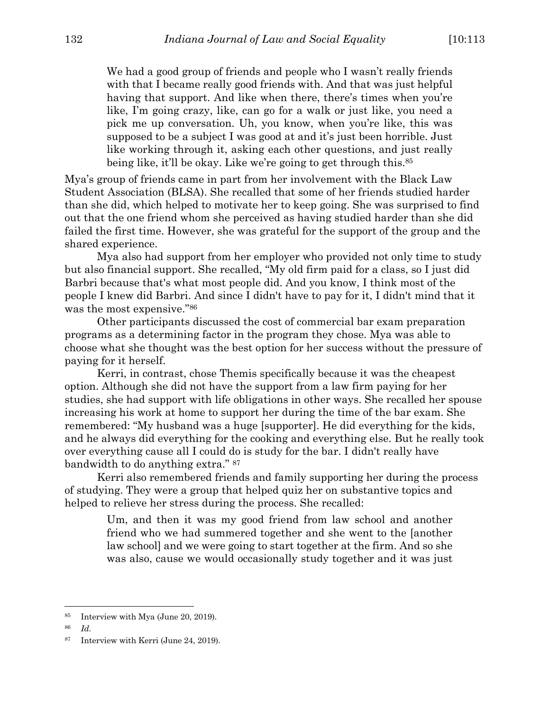We had a good group of friends and people who I wasn't really friends with that I became really good friends with. And that was just helpful having that support. And like when there, there's times when you're like, I'm going crazy, like, can go for a walk or just like, you need a pick me up conversation. Uh, you know, when you're like, this was supposed to be a subject I was good at and it's just been horrible. Just like working through it, asking each other questions, and just really being like, it'll be okay. Like we're going to get through this.<sup>85</sup>

Mya's group of friends came in part from her involvement with the Black Law Student Association (BLSA). She recalled that some of her friends studied harder than she did, which helped to motivate her to keep going. She was surprised to find out that the one friend whom she perceived as having studied harder than she did failed the first time. However, she was grateful for the support of the group and the shared experience.

Mya also had support from her employer who provided not only time to study but also financial support. She recalled, "My old firm paid for a class, so I just did Barbri because that's what most people did. And you know, I think most of the people I knew did Barbri. And since I didn't have to pay for it, I didn't mind that it was the most expensive."86

Other participants discussed the cost of commercial bar exam preparation programs as a determining factor in the program they chose. Mya was able to choose what she thought was the best option for her success without the pressure of paying for it herself.

Kerri, in contrast, chose Themis specifically because it was the cheapest option. Although she did not have the support from a law firm paying for her studies, she had support with life obligations in other ways. She recalled her spouse increasing his work at home to support her during the time of the bar exam. She remembered: "My husband was a huge [supporter]. He did everything for the kids, and he always did everything for the cooking and everything else. But he really took over everything cause all I could do is study for the bar. I didn't really have bandwidth to do anything extra." 87

Kerri also remembered friends and family supporting her during the process of studying. They were a group that helped quiz her on substantive topics and helped to relieve her stress during the process. She recalled:

> Um, and then it was my good friend from law school and another friend who we had summered together and she went to the [another law school] and we were going to start together at the firm. And so she was also, cause we would occasionally study together and it was just

<sup>85</sup> Interview with Mya (June 20, 2019).

<sup>87</sup> Interview with Kerri (June 24, 2019).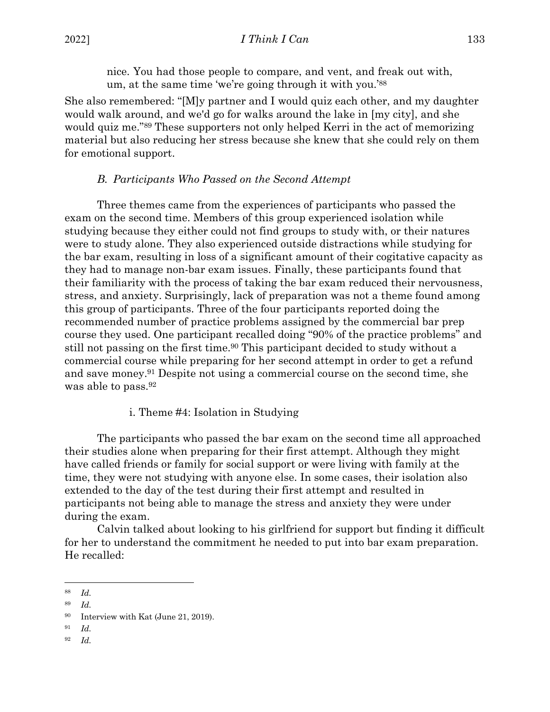nice. You had those people to compare, and vent, and freak out with, um, at the same time 'we're going through it with you.'88

She also remembered: "[M]y partner and I would quiz each other, and my daughter would walk around, and we'd go for walks around the lake in [my city], and she would quiz me."89 These supporters not only helped Kerri in the act of memorizing material but also reducing her stress because she knew that she could rely on them for emotional support.

## *B. Participants Who Passed on the Second Attempt*

Three themes came from the experiences of participants who passed the exam on the second time. Members of this group experienced isolation while studying because they either could not find groups to study with, or their natures were to study alone. They also experienced outside distractions while studying for the bar exam, resulting in loss of a significant amount of their cogitative capacity as they had to manage non-bar exam issues. Finally, these participants found that their familiarity with the process of taking the bar exam reduced their nervousness, stress, and anxiety. Surprisingly, lack of preparation was not a theme found among this group of participants. Three of the four participants reported doing the recommended number of practice problems assigned by the commercial bar prep course they used. One participant recalled doing "90% of the practice problems" and still not passing on the first time.90 This participant decided to study without a commercial course while preparing for her second attempt in order to get a refund and save money.91 Despite not using a commercial course on the second time, she was able to pass.92

### i. Theme #4: Isolation in Studying

The participants who passed the bar exam on the second time all approached their studies alone when preparing for their first attempt. Although they might have called friends or family for social support or were living with family at the time, they were not studying with anyone else. In some cases, their isolation also extended to the day of the test during their first attempt and resulted in participants not being able to manage the stress and anxiety they were under during the exam.

Calvin talked about looking to his girlfriend for support but finding it difficult for her to understand the commitment he needed to put into bar exam preparation. He recalled:

<sup>88</sup> *Id.*

<sup>89</sup> *Id.*

<sup>90</sup> Interview with Kat (June 21, 2019).

<sup>91</sup> *Id.*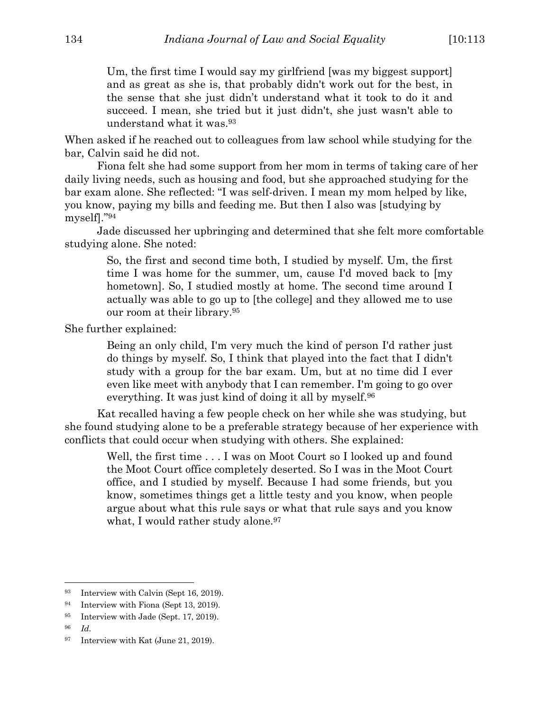Um, the first time I would say my girlfriend [was my biggest support] and as great as she is, that probably didn't work out for the best, in the sense that she just didn't understand what it took to do it and succeed. I mean, she tried but it just didn't, she just wasn't able to understand what it was.93

When asked if he reached out to colleagues from law school while studying for the bar, Calvin said he did not.

Fiona felt she had some support from her mom in terms of taking care of her daily living needs, such as housing and food, but she approached studying for the bar exam alone. She reflected: "I was self-driven. I mean my mom helped by like, you know, paying my bills and feeding me. But then I also was [studying by myself]."94

Jade discussed her upbringing and determined that she felt more comfortable studying alone. She noted:

> So, the first and second time both, I studied by myself. Um, the first time I was home for the summer, um, cause I'd moved back to [my hometown]. So, I studied mostly at home. The second time around I actually was able to go up to [the college] and they allowed me to use our room at their library.95

She further explained:

Being an only child, I'm very much the kind of person I'd rather just do things by myself. So, I think that played into the fact that I didn't study with a group for the bar exam. Um, but at no time did I ever even like meet with anybody that I can remember. I'm going to go over everything. It was just kind of doing it all by myself.96

Kat recalled having a few people check on her while she was studying, but she found studying alone to be a preferable strategy because of her experience with conflicts that could occur when studying with others. She explained:

> Well, the first time . . . I was on Moot Court so I looked up and found the Moot Court office completely deserted. So I was in the Moot Court office, and I studied by myself. Because I had some friends, but you know, sometimes things get a little testy and you know, when people argue about what this rule says or what that rule says and you know what, I would rather study alone.<sup>97</sup>

<sup>93</sup> Interview with Calvin (Sept 16, 2019).

<sup>94</sup> Interview with Fiona (Sept 13, 2019).

<sup>95</sup> Interview with Jade (Sept. 17, 2019).

<sup>96</sup> *Id.*

<sup>&</sup>lt;sup>97</sup> Interview with Kat (June 21, 2019).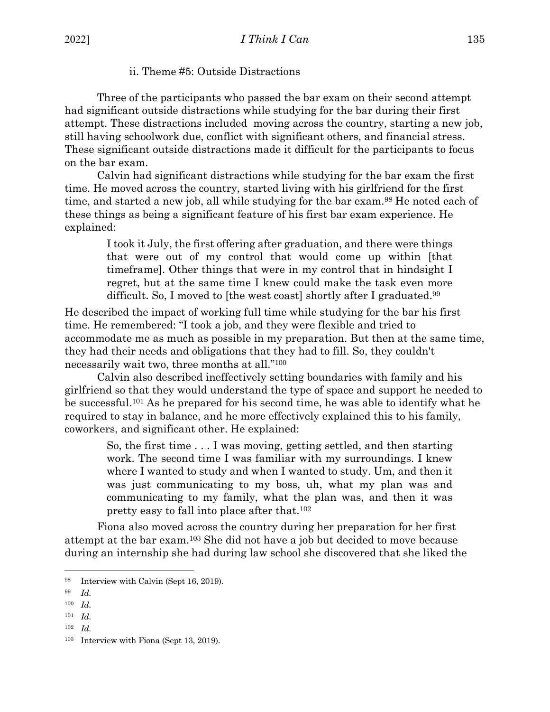# ii. Theme #5: Outside Distractions

Three of the participants who passed the bar exam on their second attempt had significant outside distractions while studying for the bar during their first attempt. These distractions included moving across the country, starting a new job, still having schoolwork due, conflict with significant others, and financial stress. These significant outside distractions made it difficult for the participants to focus on the bar exam.

Calvin had significant distractions while studying for the bar exam the first time. He moved across the country, started living with his girlfriend for the first time, and started a new job, all while studying for the bar exam.<sup>98</sup> He noted each of these things as being a significant feature of his first bar exam experience. He explained:

> I took it July, the first offering after graduation, and there were things that were out of my control that would come up within [that timeframe]. Other things that were in my control that in hindsight I regret, but at the same time I knew could make the task even more difficult. So, I moved to [the west coast] shortly after I graduated.<sup>99</sup>

He described the impact of working full time while studying for the bar his first time. He remembered: "I took a job, and they were flexible and tried to accommodate me as much as possible in my preparation. But then at the same time, they had their needs and obligations that they had to fill. So, they couldn't necessarily wait two, three months at all."100

Calvin also described ineffectively setting boundaries with family and his girlfriend so that they would understand the type of space and support he needed to be successful.101 As he prepared for his second time, he was able to identify what he required to stay in balance, and he more effectively explained this to his family, coworkers, and significant other. He explained:

> So, the first time . . . I was moving, getting settled, and then starting work. The second time I was familiar with my surroundings. I knew where I wanted to study and when I wanted to study. Um, and then it was just communicating to my boss, uh, what my plan was and communicating to my family, what the plan was, and then it was pretty easy to fall into place after that.102

Fiona also moved across the country during her preparation for her first attempt at the bar exam.103 She did not have a job but decided to move because during an internship she had during law school she discovered that she liked the

- <sup>100</sup> *Id.*
- <sup>101</sup> *Id.*
- <sup>102</sup> *Id.*

<sup>98</sup> Interview with Calvin (Sept 16, 2019).

<sup>99</sup> *Id.*

<sup>103</sup> Interview with Fiona (Sept 13, 2019).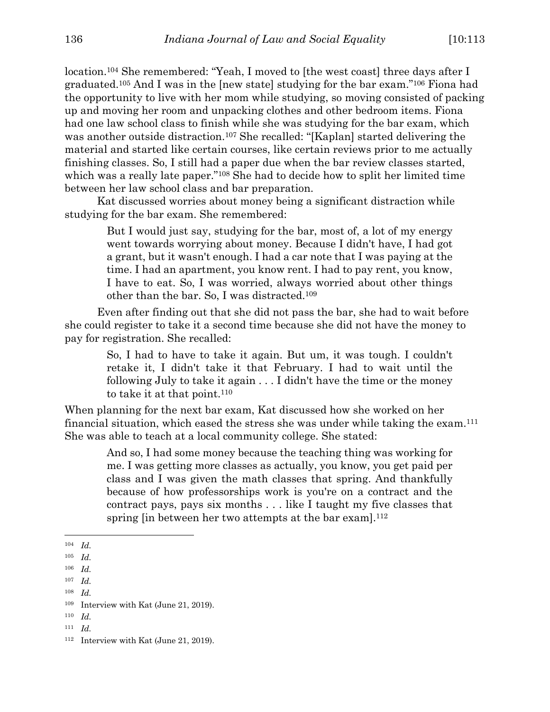location.<sup>104</sup> She remembered: "Yeah, I moved to [the west coast] three days after I graduated.105 And I was in the [new state] studying for the bar exam."106 Fiona had the opportunity to live with her mom while studying, so moving consisted of packing up and moving her room and unpacking clothes and other bedroom items. Fiona had one law school class to finish while she was studying for the bar exam, which was another outside distraction.<sup>107</sup> She recalled: "[Kaplan] started delivering the material and started like certain courses, like certain reviews prior to me actually finishing classes. So, I still had a paper due when the bar review classes started, which was a really late paper."<sup>108</sup> She had to decide how to split her limited time between her law school class and bar preparation.

Kat discussed worries about money being a significant distraction while studying for the bar exam. She remembered:

> But I would just say, studying for the bar, most of, a lot of my energy went towards worrying about money. Because I didn't have, I had got a grant, but it wasn't enough. I had a car note that I was paying at the time. I had an apartment, you know rent. I had to pay rent, you know, I have to eat. So, I was worried, always worried about other things other than the bar. So, I was distracted.109

Even after finding out that she did not pass the bar, she had to wait before she could register to take it a second time because she did not have the money to pay for registration. She recalled:

> So, I had to have to take it again. But um, it was tough. I couldn't retake it, I didn't take it that February. I had to wait until the following July to take it again . . . I didn't have the time or the money to take it at that point.110

When planning for the next bar exam, Kat discussed how she worked on her financial situation, which eased the stress she was under while taking the exam.111 She was able to teach at a local community college. She stated:

> And so, I had some money because the teaching thing was working for me. I was getting more classes as actually, you know, you get paid per class and I was given the math classes that spring. And thankfully because of how professorships work is you're on a contract and the contract pays, pays six months . . . like I taught my five classes that spring [in between her two attempts at the bar exam].<sup>112</sup>

<sup>108</sup> *Id.*

<sup>104</sup> *Id.*

<sup>105</sup> *Id.*

<sup>106</sup> *Id.*

<sup>107</sup> *Id.*

<sup>109</sup> Interview with Kat (June 21, 2019).

<sup>111</sup> *Id.*

<sup>112</sup> Interview with Kat (June 21, 2019).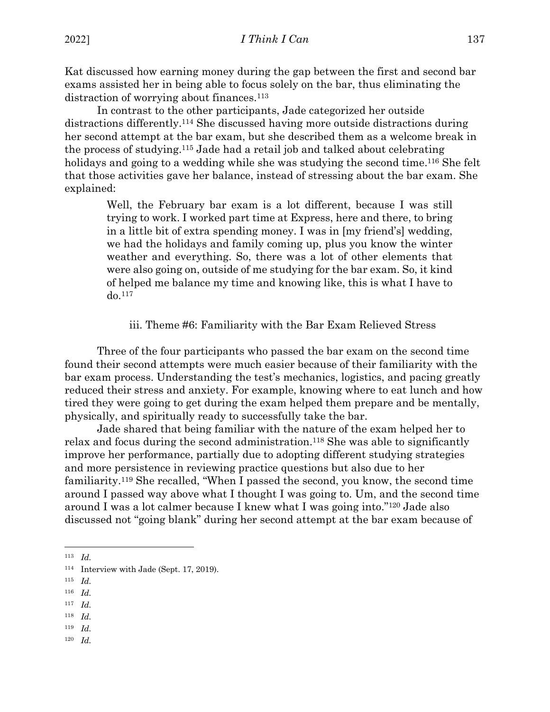Kat discussed how earning money during the gap between the first and second bar exams assisted her in being able to focus solely on the bar, thus eliminating the distraction of worrying about finances.<sup>113</sup>

In contrast to the other participants, Jade categorized her outside distractions differently.114 She discussed having more outside distractions during her second attempt at the bar exam, but she described them as a welcome break in the process of studying.115 Jade had a retail job and talked about celebrating holidays and going to a wedding while she was studying the second time.<sup>116</sup> She felt that those activities gave her balance, instead of stressing about the bar exam. She explained:

> Well, the February bar exam is a lot different, because I was still trying to work. I worked part time at Express, here and there, to bring in a little bit of extra spending money. I was in [my friend's] wedding, we had the holidays and family coming up, plus you know the winter weather and everything. So, there was a lot of other elements that were also going on, outside of me studying for the bar exam. So, it kind of helped me balance my time and knowing like, this is what I have to do.117

#### iii. Theme #6: Familiarity with the Bar Exam Relieved Stress

Three of the four participants who passed the bar exam on the second time found their second attempts were much easier because of their familiarity with the bar exam process. Understanding the test's mechanics, logistics, and pacing greatly reduced their stress and anxiety. For example, knowing where to eat lunch and how tired they were going to get during the exam helped them prepare and be mentally, physically, and spiritually ready to successfully take the bar.

Jade shared that being familiar with the nature of the exam helped her to relax and focus during the second administration.118 She was able to significantly improve her performance, partially due to adopting different studying strategies and more persistence in reviewing practice questions but also due to her familiarity.119 She recalled, "When I passed the second, you know, the second time around I passed way above what I thought I was going to. Um, and the second time around I was a lot calmer because I knew what I was going into."120 Jade also discussed not "going blank" during her second attempt at the bar exam because of

- <sup>116</sup> *Id.*
- <sup>117</sup> *Id.*
- <sup>118</sup> *Id.*
- <sup>119</sup> *Id.*
- <sup>120</sup> *Id.*

<sup>113</sup> *Id.*

<sup>114</sup> Interview with Jade (Sept. 17, 2019).

<sup>115</sup> *Id.*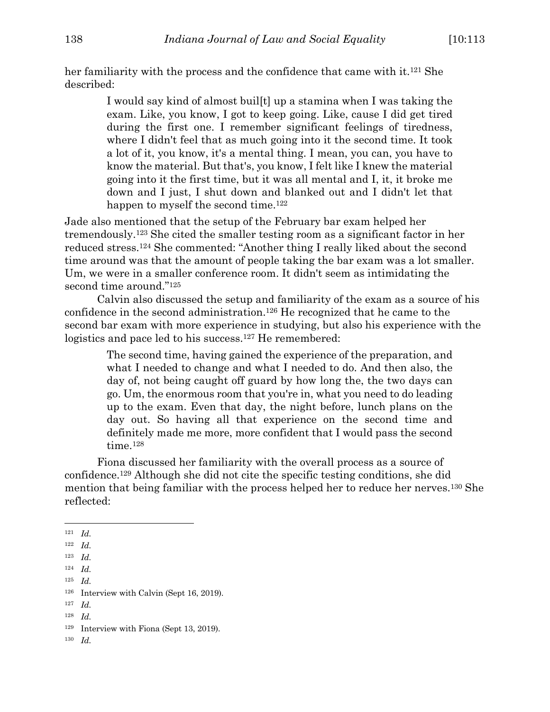her familiarity with the process and the confidence that came with it.<sup>121</sup> She described:

> I would say kind of almost buil[t] up a stamina when I was taking the exam. Like, you know, I got to keep going. Like, cause I did get tired during the first one. I remember significant feelings of tiredness, where I didn't feel that as much going into it the second time. It took a lot of it, you know, it's a mental thing. I mean, you can, you have to know the material. But that's, you know, I felt like I knew the material going into it the first time, but it was all mental and I, it, it broke me down and I just, I shut down and blanked out and I didn't let that happen to myself the second time.<sup>122</sup>

Jade also mentioned that the setup of the February bar exam helped her tremendously.123 She cited the smaller testing room as a significant factor in her reduced stress.124 She commented: "Another thing I really liked about the second time around was that the amount of people taking the bar exam was a lot smaller. Um, we were in a smaller conference room. It didn't seem as intimidating the second time around."125

Calvin also discussed the setup and familiarity of the exam as a source of his confidence in the second administration.126 He recognized that he came to the second bar exam with more experience in studying, but also his experience with the logistics and pace led to his success.<sup>127</sup> He remembered:

> The second time, having gained the experience of the preparation, and what I needed to change and what I needed to do. And then also, the day of, not being caught off guard by how long the, the two days can go. Um, the enormous room that you're in, what you need to do leading up to the exam. Even that day, the night before, lunch plans on the day out. So having all that experience on the second time and definitely made me more, more confident that I would pass the second time.<sup>128</sup>

Fiona discussed her familiarity with the overall process as a source of confidence.129 Although she did not cite the specific testing conditions, she did mention that being familiar with the process helped her to reduce her nerves.130 She reflected:

<sup>125</sup> *Id.*

- <sup>127</sup> *Id.*
- <sup>128</sup> *Id.*

<sup>121</sup> *Id.*

<sup>122</sup> *Id.*

<sup>123</sup> *Id.*

<sup>124</sup> *Id.*

<sup>126</sup> Interview with Calvin (Sept 16, 2019).

<sup>129</sup> Interview with Fiona (Sept 13, 2019).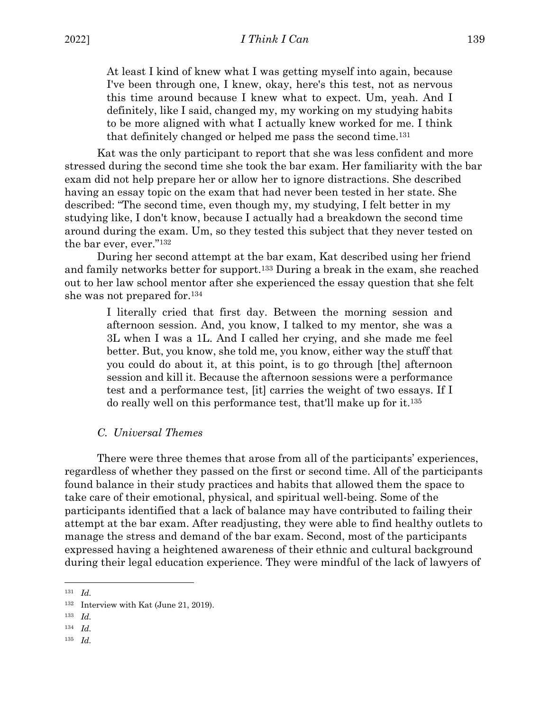At least I kind of knew what I was getting myself into again, because I've been through one, I knew, okay, here's this test, not as nervous this time around because I knew what to expect. Um, yeah. And I definitely, like I said, changed my, my working on my studying habits to be more aligned with what I actually knew worked for me. I think that definitely changed or helped me pass the second time.131

Kat was the only participant to report that she was less confident and more stressed during the second time she took the bar exam. Her familiarity with the bar exam did not help prepare her or allow her to ignore distractions. She described having an essay topic on the exam that had never been tested in her state. She described: "The second time, even though my, my studying, I felt better in my studying like, I don't know, because I actually had a breakdown the second time around during the exam. Um, so they tested this subject that they never tested on the bar ever, ever."132

During her second attempt at the bar exam, Kat described using her friend and family networks better for support.133 During a break in the exam, she reached out to her law school mentor after she experienced the essay question that she felt she was not prepared for.134

> I literally cried that first day. Between the morning session and afternoon session. And, you know, I talked to my mentor, she was a 3L when I was a 1L. And I called her crying, and she made me feel better. But, you know, she told me, you know, either way the stuff that you could do about it, at this point, is to go through [the] afternoon session and kill it. Because the afternoon sessions were a performance test and a performance test, [it] carries the weight of two essays. If I do really well on this performance test, that'll make up for it.135

#### *C. Universal Themes*

There were three themes that arose from all of the participants' experiences, regardless of whether they passed on the first or second time. All of the participants found balance in their study practices and habits that allowed them the space to take care of their emotional, physical, and spiritual well-being. Some of the participants identified that a lack of balance may have contributed to failing their attempt at the bar exam. After readjusting, they were able to find healthy outlets to manage the stress and demand of the bar exam. Second, most of the participants expressed having a heightened awareness of their ethnic and cultural background during their legal education experience. They were mindful of the lack of lawyers of

<sup>131</sup> *Id.*

<sup>132</sup> Interview with Kat (June 21, 2019).

<sup>133</sup> *Id.*

<sup>134</sup> *Id.*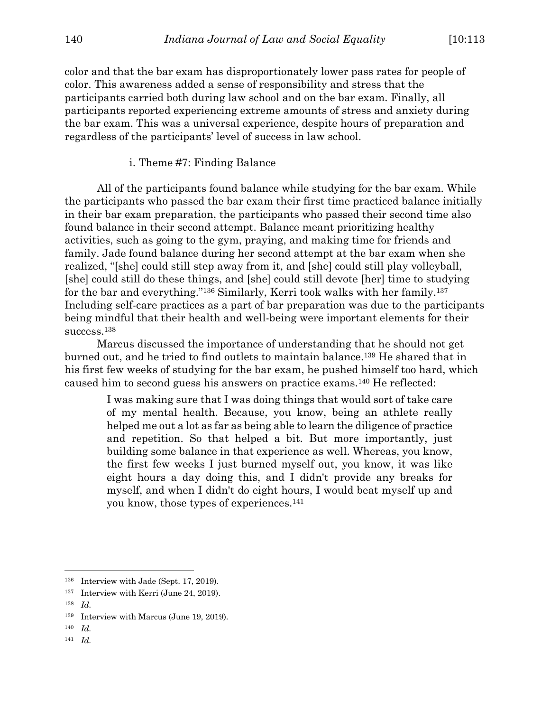color and that the bar exam has disproportionately lower pass rates for people of color. This awareness added a sense of responsibility and stress that the participants carried both during law school and on the bar exam. Finally, all participants reported experiencing extreme amounts of stress and anxiety during the bar exam. This was a universal experience, despite hours of preparation and regardless of the participants' level of success in law school.

#### i. Theme #7: Finding Balance

All of the participants found balance while studying for the bar exam. While the participants who passed the bar exam their first time practiced balance initially in their bar exam preparation, the participants who passed their second time also found balance in their second attempt. Balance meant prioritizing healthy activities, such as going to the gym, praying, and making time for friends and family. Jade found balance during her second attempt at the bar exam when she realized, "[she] could still step away from it, and [she] could still play volleyball, [she] could still do these things, and [she] could still devote [her] time to studying for the bar and everything."136 Similarly, Kerri took walks with her family.137 Including self-care practices as a part of bar preparation was due to the participants being mindful that their health and well-being were important elements for their success.138

Marcus discussed the importance of understanding that he should not get burned out, and he tried to find outlets to maintain balance.139 He shared that in his first few weeks of studying for the bar exam, he pushed himself too hard, which caused him to second guess his answers on practice exams.140 He reflected:

> I was making sure that I was doing things that would sort of take care of my mental health. Because, you know, being an athlete really helped me out a lot as far as being able to learn the diligence of practice and repetition. So that helped a bit. But more importantly, just building some balance in that experience as well. Whereas, you know, the first few weeks I just burned myself out, you know, it was like eight hours a day doing this, and I didn't provide any breaks for myself, and when I didn't do eight hours, I would beat myself up and you know, those types of experiences.141

<sup>136</sup> Interview with Jade (Sept. 17, 2019).

<sup>137</sup> Interview with Kerri (June 24, 2019).

<sup>138</sup> *Id.*

<sup>139</sup> Interview with Marcus (June 19, 2019).

<sup>140</sup> *Id.*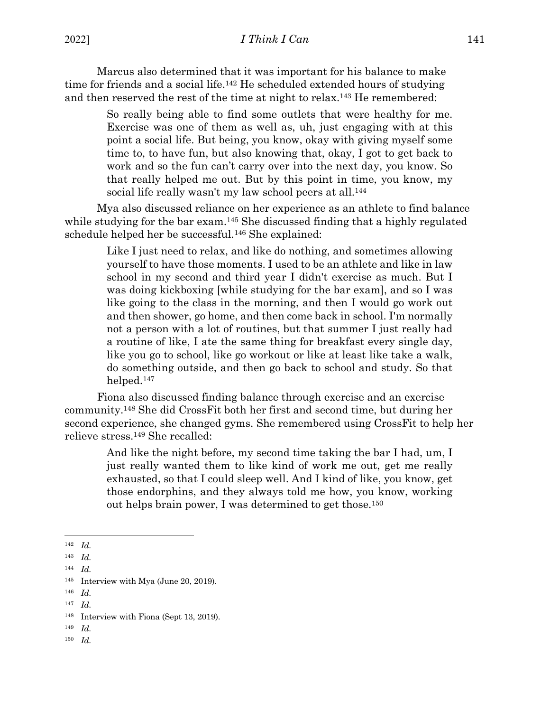Marcus also determined that it was important for his balance to make time for friends and a social life.<sup>142</sup> He scheduled extended hours of studying and then reserved the rest of the time at night to relax.143 He remembered:

> So really being able to find some outlets that were healthy for me. Exercise was one of them as well as, uh, just engaging with at this point a social life. But being, you know, okay with giving myself some time to, to have fun, but also knowing that, okay, I got to get back to work and so the fun can't carry over into the next day, you know. So that really helped me out. But by this point in time, you know, my social life really wasn't my law school peers at all.<sup>144</sup>

Mya also discussed reliance on her experience as an athlete to find balance while studying for the bar exam.<sup>145</sup> She discussed finding that a highly regulated schedule helped her be successful.146 She explained:

> Like I just need to relax, and like do nothing, and sometimes allowing yourself to have those moments. I used to be an athlete and like in law school in my second and third year I didn't exercise as much. But I was doing kickboxing [while studying for the bar exam], and so I was like going to the class in the morning, and then I would go work out and then shower, go home, and then come back in school. I'm normally not a person with a lot of routines, but that summer I just really had a routine of like, I ate the same thing for breakfast every single day, like you go to school, like go workout or like at least like take a walk, do something outside, and then go back to school and study. So that helped.147

Fiona also discussed finding balance through exercise and an exercise community.148 She did CrossFit both her first and second time, but during her second experience, she changed gyms. She remembered using CrossFit to help her relieve stress.149 She recalled:

> And like the night before, my second time taking the bar I had, um, I just really wanted them to like kind of work me out, get me really exhausted, so that I could sleep well. And I kind of like, you know, get those endorphins, and they always told me how, you know, working out helps brain power, I was determined to get those.150

- <sup>149</sup> *Id.*
- <sup>150</sup> *Id.*

<sup>142</sup> *Id.*

<sup>143</sup> *Id.*

<sup>144</sup> *Id.*

<sup>145</sup> Interview with Mya (June 20, 2019).

<sup>146</sup> *Id.*

<sup>147</sup> *Id.*

<sup>148</sup> Interview with Fiona (Sept 13, 2019).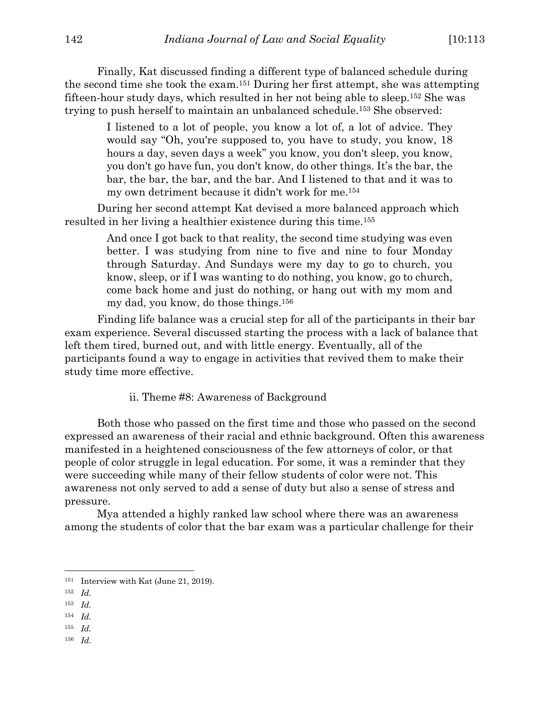Finally, Kat discussed finding a different type of balanced schedule during the second time she took the exam.151 During her first attempt, she was attempting fifteen-hour study days, which resulted in her not being able to sleep.152 She was trying to push herself to maintain an unbalanced schedule.153 She observed:

> I listened to a lot of people, you know a lot of, a lot of advice. They would say "Oh, you're supposed to, you have to study, you know, 18 hours a day, seven days a week" you know, you don't sleep, you know, you don't go have fun, you don't know, do other things. It's the bar, the bar, the bar, the bar, and the bar. And I listened to that and it was to my own detriment because it didn't work for me.154

During her second attempt Kat devised a more balanced approach which resulted in her living a healthier existence during this time.155

> And once I got back to that reality, the second time studying was even better. I was studying from nine to five and nine to four Monday through Saturday. And Sundays were my day to go to church, you know, sleep, or if I was wanting to do nothing, you know, go to church, come back home and just do nothing, or hang out with my mom and my dad, you know, do those things.156

Finding life balance was a crucial step for all of the participants in their bar exam experience. Several discussed starting the process with a lack of balance that left them tired, burned out, and with little energy. Eventually, all of the participants found a way to engage in activities that revived them to make their study time more effective.

ii. Theme #8: Awareness of Background

Both those who passed on the first time and those who passed on the second expressed an awareness of their racial and ethnic background. Often this awareness manifested in a heightened consciousness of the few attorneys of color, or that people of color struggle in legal education. For some, it was a reminder that they were succeeding while many of their fellow students of color were not. This awareness not only served to add a sense of duty but also a sense of stress and pressure.

Mya attended a highly ranked law school where there was an awareness among the students of color that the bar exam was a particular challenge for their

<sup>155</sup> *Id.*

<sup>151</sup> Interview with Kat (June 21, 2019).

<sup>152</sup> *Id.*

<sup>153</sup> *Id.*

<sup>154</sup> *Id.*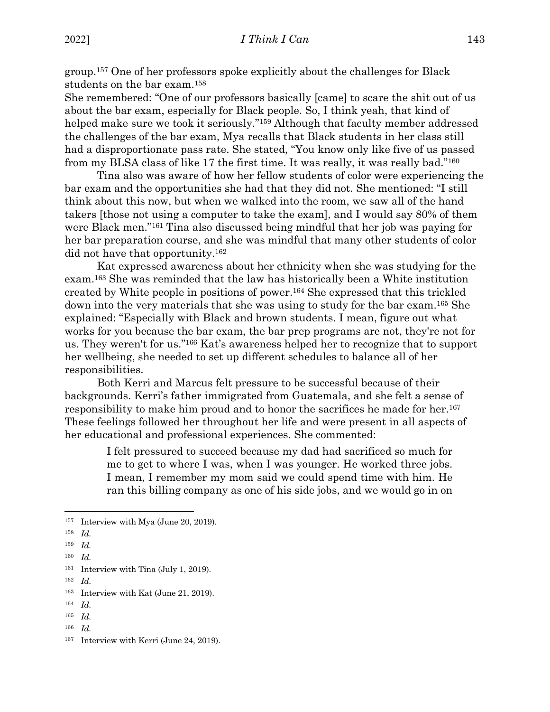group.157 One of her professors spoke explicitly about the challenges for Black students on the bar exam.158

She remembered: "One of our professors basically [came] to scare the shit out of us about the bar exam, especially for Black people. So, I think yeah, that kind of helped make sure we took it seriously."159 Although that faculty member addressed the challenges of the bar exam, Mya recalls that Black students in her class still had a disproportionate pass rate. She stated, "You know only like five of us passed from my BLSA class of like 17 the first time. It was really, it was really bad."160

Tina also was aware of how her fellow students of color were experiencing the bar exam and the opportunities she had that they did not. She mentioned: "I still think about this now, but when we walked into the room, we saw all of the hand takers [those not using a computer to take the exam], and I would say 80% of them were Black men."161 Tina also discussed being mindful that her job was paying for her bar preparation course, and she was mindful that many other students of color did not have that opportunity.162

Kat expressed awareness about her ethnicity when she was studying for the exam.163 She was reminded that the law has historically been a White institution created by White people in positions of power.164 She expressed that this trickled down into the very materials that she was using to study for the bar exam.165 She explained: "Especially with Black and brown students. I mean, figure out what works for you because the bar exam, the bar prep programs are not, they're not for us. They weren't for us."166 Kat's awareness helped her to recognize that to support her wellbeing, she needed to set up different schedules to balance all of her responsibilities.

Both Kerri and Marcus felt pressure to be successful because of their backgrounds. Kerri's father immigrated from Guatemala, and she felt a sense of responsibility to make him proud and to honor the sacrifices he made for her.<sup>167</sup> These feelings followed her throughout her life and were present in all aspects of her educational and professional experiences. She commented:

> I felt pressured to succeed because my dad had sacrificed so much for me to get to where I was, when I was younger. He worked three jobs. I mean, I remember my mom said we could spend time with him. He ran this billing company as one of his side jobs, and we would go in on

<sup>164</sup> *Id.*

<sup>157</sup> Interview with Mya (June 20, 2019).

<sup>158</sup> *Id.*

<sup>159</sup> *Id.*

<sup>160</sup> *Id.*

<sup>161</sup> Interview with Tina (July 1, 2019).

<sup>162</sup> *Id.*

<sup>163</sup> Interview with Kat (June 21, 2019).

<sup>165</sup> *Id.*

<sup>167</sup> Interview with Kerri (June 24, 2019).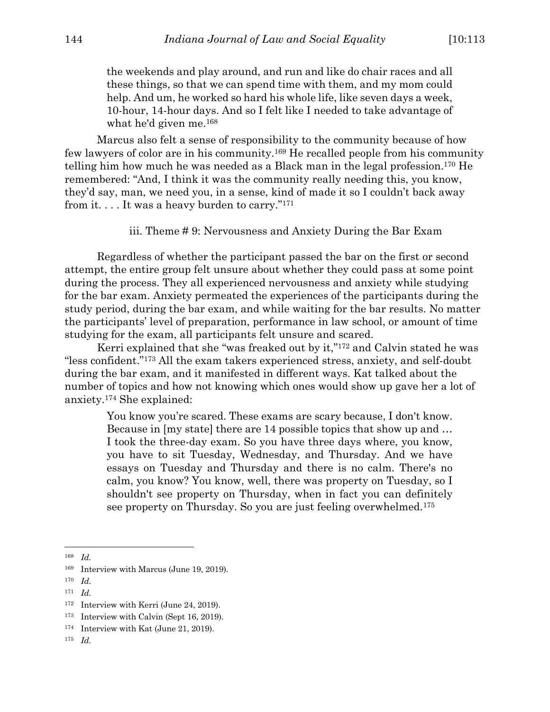the weekends and play around, and run and like do chair races and all these things, so that we can spend time with them, and my mom could help. And um, he worked so hard his whole life, like seven days a week, 10-hour, 14-hour days. And so I felt like I needed to take advantage of what he'd given me.168

Marcus also felt a sense of responsibility to the community because of how few lawyers of color are in his community.169 He recalled people from his community telling him how much he was needed as a Black man in the legal profession.170 He remembered: "And, I think it was the community really needing this, you know, they'd say, man, we need you, in a sense, kind of made it so I couldn't back away from it. . . . It was a heavy burden to carry."171

iii. Theme # 9: Nervousness and Anxiety During the Bar Exam

Regardless of whether the participant passed the bar on the first or second attempt, the entire group felt unsure about whether they could pass at some point during the process. They all experienced nervousness and anxiety while studying for the bar exam. Anxiety permeated the experiences of the participants during the study period, during the bar exam, and while waiting for the bar results. No matter the participants' level of preparation, performance in law school, or amount of time studying for the exam, all participants felt unsure and scared.

Kerri explained that she "was freaked out by it,"172 and Calvin stated he was "less confident."173 All the exam takers experienced stress, anxiety, and self-doubt during the bar exam, and it manifested in different ways. Kat talked about the number of topics and how not knowing which ones would show up gave her a lot of anxiety.174 She explained:

> You know you're scared. These exams are scary because, I don't know. Because in [my state] there are 14 possible topics that show up and … I took the three-day exam. So you have three days where, you know, you have to sit Tuesday, Wednesday, and Thursday. And we have essays on Tuesday and Thursday and there is no calm. There's no calm, you know? You know, well, there was property on Tuesday, so I shouldn't see property on Thursday, when in fact you can definitely see property on Thursday. So you are just feeling overwhelmed.175

<sup>171</sup> *Id.*

<sup>168</sup> *Id.*

<sup>169</sup> Interview with Marcus (June 19, 2019).

<sup>170</sup> *Id.*

<sup>&</sup>lt;sup>172</sup> Interview with Kerri (June 24, 2019).

<sup>173</sup> Interview with Calvin (Sept 16, 2019).

<sup>174</sup> Interview with Kat (June 21, 2019).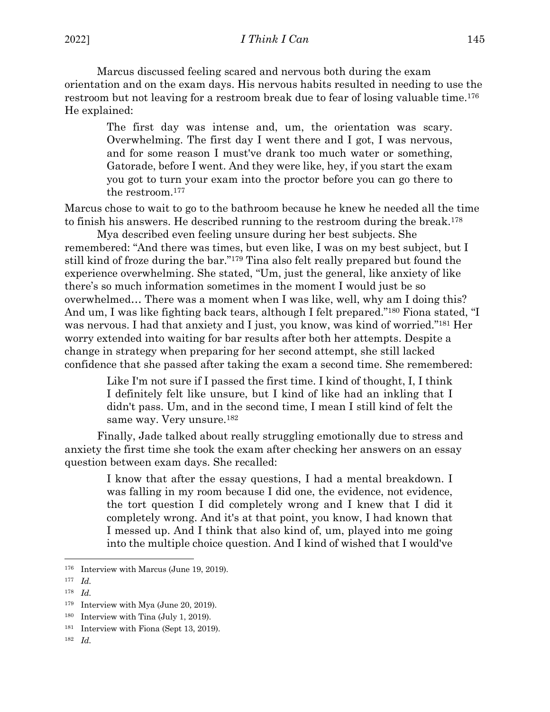Marcus discussed feeling scared and nervous both during the exam orientation and on the exam days. His nervous habits resulted in needing to use the restroom but not leaving for a restroom break due to fear of losing valuable time.<sup>176</sup> He explained:

> The first day was intense and, um, the orientation was scary. Overwhelming. The first day I went there and I got, I was nervous, and for some reason I must've drank too much water or something, Gatorade, before I went. And they were like, hey, if you start the exam you got to turn your exam into the proctor before you can go there to the restroom.177

Marcus chose to wait to go to the bathroom because he knew he needed all the time to finish his answers. He described running to the restroom during the break.178

Mya described even feeling unsure during her best subjects. She remembered: "And there was times, but even like, I was on my best subject, but I still kind of froze during the bar."179 Tina also felt really prepared but found the experience overwhelming. She stated, "Um, just the general, like anxiety of like there's so much information sometimes in the moment I would just be so overwhelmed… There was a moment when I was like, well, why am I doing this? And um, I was like fighting back tears, although I felt prepared."180 Fiona stated, "I was nervous. I had that anxiety and I just, you know, was kind of worried."181 Her worry extended into waiting for bar results after both her attempts. Despite a change in strategy when preparing for her second attempt, she still lacked confidence that she passed after taking the exam a second time. She remembered:

> Like I'm not sure if I passed the first time. I kind of thought, I, I think I definitely felt like unsure, but I kind of like had an inkling that I didn't pass. Um, and in the second time, I mean I still kind of felt the same way. Very unsure.182

Finally, Jade talked about really struggling emotionally due to stress and anxiety the first time she took the exam after checking her answers on an essay question between exam days. She recalled:

> I know that after the essay questions, I had a mental breakdown. I was falling in my room because I did one, the evidence, not evidence, the tort question I did completely wrong and I knew that I did it completely wrong. And it's at that point, you know, I had known that I messed up. And I think that also kind of, um, played into me going into the multiple choice question. And I kind of wished that I would've

<sup>&</sup>lt;sup>176</sup> Interview with Marcus (June 19, 2019).

<sup>177</sup> *Id.*

<sup>179</sup> Interview with Mya (June 20, 2019).

<sup>180</sup> Interview with Tina (July 1, 2019).

<sup>181</sup> Interview with Fiona (Sept 13, 2019).

<sup>182</sup> *Id.*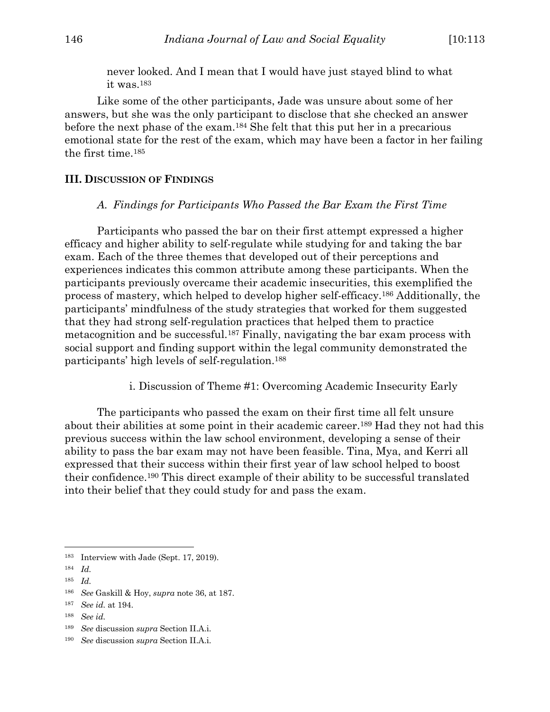never looked. And I mean that I would have just stayed blind to what it was.183

Like some of the other participants, Jade was unsure about some of her answers, but she was the only participant to disclose that she checked an answer before the next phase of the exam.184 She felt that this put her in a precarious emotional state for the rest of the exam, which may have been a factor in her failing the first time.185

#### **III. DISCUSSION OF FINDINGS**

#### *A. Findings for Participants Who Passed the Bar Exam the First Time*

Participants who passed the bar on their first attempt expressed a higher efficacy and higher ability to self-regulate while studying for and taking the bar exam. Each of the three themes that developed out of their perceptions and experiences indicates this common attribute among these participants. When the participants previously overcame their academic insecurities, this exemplified the process of mastery, which helped to develop higher self-efficacy.186 Additionally, the participants' mindfulness of the study strategies that worked for them suggested that they had strong self-regulation practices that helped them to practice metacognition and be successful.187 Finally, navigating the bar exam process with social support and finding support within the legal community demonstrated the participants' high levels of self-regulation.188

i. Discussion of Theme #1: Overcoming Academic Insecurity Early

The participants who passed the exam on their first time all felt unsure about their abilities at some point in their academic career.189 Had they not had this previous success within the law school environment, developing a sense of their ability to pass the bar exam may not have been feasible. Tina, Mya, and Kerri all expressed that their success within their first year of law school helped to boost their confidence.190 This direct example of their ability to be successful translated into their belief that they could study for and pass the exam.

<sup>183</sup> Interview with Jade (Sept. 17, 2019).

<sup>184</sup> *Id.*

<sup>185</sup> *Id.*

<sup>186</sup> *See* Gaskill & Hoy, *supra* note 36, at 187.

<sup>187</sup> *See id.* at 194.

<sup>188</sup> *See id.*

<sup>189</sup> *See* discussion *supra* Section II.A.i.

<sup>190</sup> *See* discussion *supra* Section II.A.i.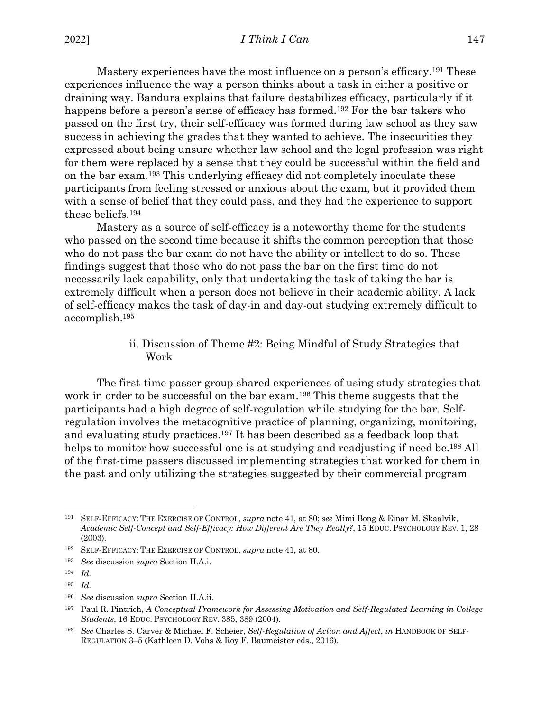Mastery experiences have the most influence on a person's efficacy.191 These experiences influence the way a person thinks about a task in either a positive or draining way. Bandura explains that failure destabilizes efficacy, particularly if it happens before a person's sense of efficacy has formed.<sup>192</sup> For the bar takers who passed on the first try, their self-efficacy was formed during law school as they saw success in achieving the grades that they wanted to achieve. The insecurities they expressed about being unsure whether law school and the legal profession was right for them were replaced by a sense that they could be successful within the field and on the bar exam.193 This underlying efficacy did not completely inoculate these participants from feeling stressed or anxious about the exam, but it provided them with a sense of belief that they could pass, and they had the experience to support these beliefs.194

Mastery as a source of self-efficacy is a noteworthy theme for the students who passed on the second time because it shifts the common perception that those who do not pass the bar exam do not have the ability or intellect to do so. These findings suggest that those who do not pass the bar on the first time do not necessarily lack capability, only that undertaking the task of taking the bar is extremely difficult when a person does not believe in their academic ability. A lack of self-efficacy makes the task of day-in and day-out studying extremely difficult to accomplish.195

> ii. Discussion of Theme #2: Being Mindful of Study Strategies that Work

The first-time passer group shared experiences of using study strategies that work in order to be successful on the bar exam.<sup>196</sup> This theme suggests that the participants had a high degree of self-regulation while studying for the bar. Selfregulation involves the metacognitive practice of planning, organizing, monitoring, and evaluating study practices.197 It has been described as a feedback loop that helps to monitor how successful one is at studying and readjusting if need be.<sup>198</sup> All of the first-time passers discussed implementing strategies that worked for them in the past and only utilizing the strategies suggested by their commercial program

<sup>191</sup> SELF-EFFICACY: THE EXERCISE OF CONTROL, *supra* note 41, at 80; *see* Mimi Bong & Einar M. Skaalvik, *Academic Self-Concept and Self-Efficacy: How Different Are They Really?*, 15 EDUC. PSYCHOLOGY REV. 1, 28 (2003).

<sup>192</sup> SELF-EFFICACY: THE EXERCISE OF CONTROL, *supra* note 41, at 80.

<sup>193</sup> *See* discussion *supra* Section II.A.i.

<sup>194</sup> *Id.*

<sup>195</sup> *Id.*

<sup>196</sup> *See* discussion *supra* Section II.A.ii.

<sup>197</sup> Paul R. Pintrich, *A Conceptual Framework for Assessing Motivation and Self-Regulated Learning in College Students*, 16 EDUC. PSYCHOLOGY REV. 385, 389 (2004).

<sup>198</sup> *See* Charles S. Carver & Michael F. Scheier, *Self-Regulation of Action and Affect*, *in* HANDBOOK OF SELF-REGULATION 3–5 (Kathleen D. Vohs & Roy F. Baumeister eds., 2016).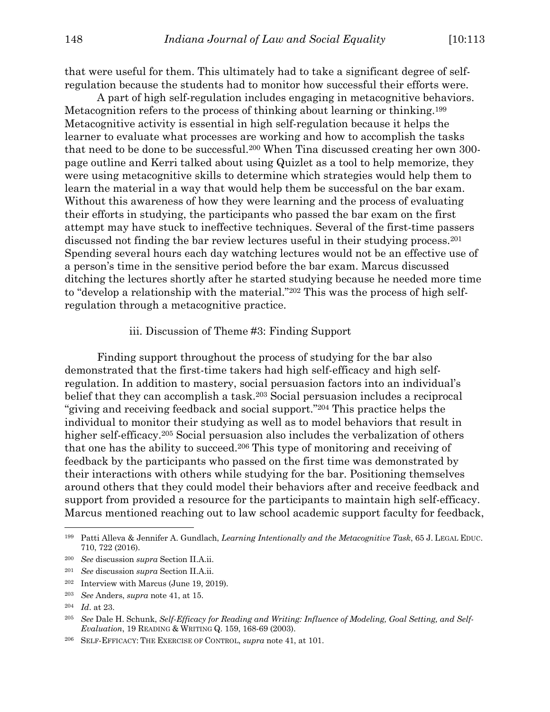that were useful for them. This ultimately had to take a significant degree of selfregulation because the students had to monitor how successful their efforts were.

A part of high self-regulation includes engaging in metacognitive behaviors. Metacognition refers to the process of thinking about learning or thinking.199 Metacognitive activity is essential in high self-regulation because it helps the learner to evaluate what processes are working and how to accomplish the tasks that need to be done to be successful.200 When Tina discussed creating her own 300 page outline and Kerri talked about using Quizlet as a tool to help memorize, they were using metacognitive skills to determine which strategies would help them to learn the material in a way that would help them be successful on the bar exam. Without this awareness of how they were learning and the process of evaluating their efforts in studying, the participants who passed the bar exam on the first attempt may have stuck to ineffective techniques. Several of the first-time passers discussed not finding the bar review lectures useful in their studying process.<sup>201</sup> Spending several hours each day watching lectures would not be an effective use of a person's time in the sensitive period before the bar exam. Marcus discussed ditching the lectures shortly after he started studying because he needed more time to "develop a relationship with the material."202 This was the process of high selfregulation through a metacognitive practice.

#### iii. Discussion of Theme #3: Finding Support

Finding support throughout the process of studying for the bar also demonstrated that the first-time takers had high self-efficacy and high selfregulation. In addition to mastery, social persuasion factors into an individual's belief that they can accomplish a task.<sup>203</sup> Social persuasion includes a reciprocal "giving and receiving feedback and social support."204 This practice helps the individual to monitor their studying as well as to model behaviors that result in higher self-efficacy.<sup>205</sup> Social persuasion also includes the verbalization of others that one has the ability to succeed.206 This type of monitoring and receiving of feedback by the participants who passed on the first time was demonstrated by their interactions with others while studying for the bar. Positioning themselves around others that they could model their behaviors after and receive feedback and support from provided a resource for the participants to maintain high self-efficacy. Marcus mentioned reaching out to law school academic support faculty for feedback,

<sup>199</sup> Patti Alleva & Jennifer A. Gundlach, *Learning Intentionally and the Metacognitive Task*, 65 J. LEGAL EDUC. 710, 722 (2016).

<sup>200</sup> *See* discussion *supra* Section II.A.ii.

<sup>201</sup> *See* discussion *supra* Section II.A.ii.

<sup>202</sup> Interview with Marcus (June 19, 2019).

<sup>203</sup> *See* Anders, *supra* note 41, at 15.

<sup>204</sup> *Id*. at 23.

<sup>205</sup> *See* Dale H. Schunk, *Self-Efficacy for Reading and Writing: Influence of Modeling, Goal Setting, and Self-Evaluation*, 19 READING & WRITING Q. 159, 168-69 (2003).

<sup>206</sup> SELF-EFFICACY: THE EXERCISE OF CONTROL, *supra* note 41, at 101.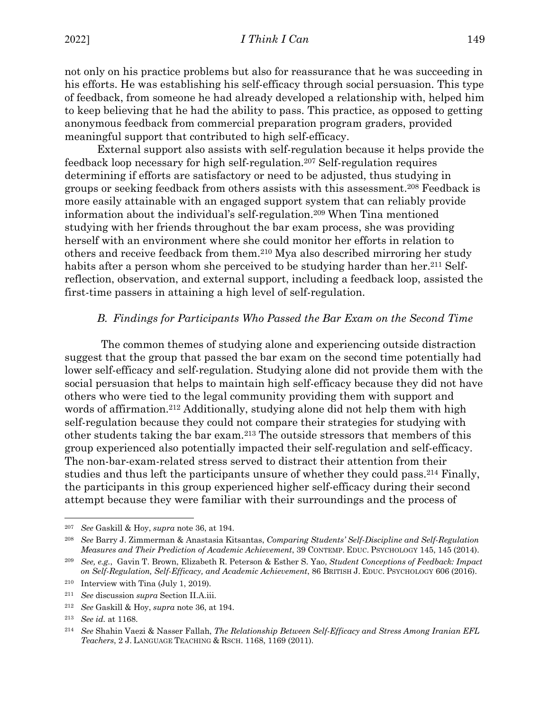not only on his practice problems but also for reassurance that he was succeeding in his efforts. He was establishing his self-efficacy through social persuasion. This type of feedback, from someone he had already developed a relationship with, helped him to keep believing that he had the ability to pass. This practice, as opposed to getting anonymous feedback from commercial preparation program graders, provided meaningful support that contributed to high self-efficacy.

External support also assists with self-regulation because it helps provide the feedback loop necessary for high self-regulation.207 Self-regulation requires determining if efforts are satisfactory or need to be adjusted, thus studying in groups or seeking feedback from others assists with this assessment.208 Feedback is more easily attainable with an engaged support system that can reliably provide information about the individual's self-regulation.209 When Tina mentioned studying with her friends throughout the bar exam process, she was providing herself with an environment where she could monitor her efforts in relation to others and receive feedback from them.210 Mya also described mirroring her study habits after a person whom she perceived to be studying harder than her.<sup>211</sup> Selfreflection, observation, and external support, including a feedback loop, assisted the first-time passers in attaining a high level of self-regulation.

#### *B. Findings for Participants Who Passed the Bar Exam on the Second Time*

The common themes of studying alone and experiencing outside distraction suggest that the group that passed the bar exam on the second time potentially had lower self-efficacy and self-regulation. Studying alone did not provide them with the social persuasion that helps to maintain high self-efficacy because they did not have others who were tied to the legal community providing them with support and words of affirmation.<sup>212</sup> Additionally, studying alone did not help them with high self-regulation because they could not compare their strategies for studying with other students taking the bar exam.213 The outside stressors that members of this group experienced also potentially impacted their self-regulation and self-efficacy. The non-bar-exam-related stress served to distract their attention from their studies and thus left the participants unsure of whether they could pass.214 Finally, the participants in this group experienced higher self-efficacy during their second attempt because they were familiar with their surroundings and the process of

<sup>207</sup> *See* Gaskill & Hoy, *supra* note 36, at 194.

<sup>208</sup> *See* Barry J. Zimmerman & Anastasia Kitsantas, *Comparing Students' Self-Discipline and Self-Regulation Measures and Their Prediction of Academic Achievement*, 39 CONTEMP. EDUC. PSYCHOLOGY 145, 145 (2014).

<sup>209</sup> *See, e.g.*, Gavin T. Brown, Elizabeth R. Peterson & Esther S. Yao, *Student Conceptions of Feedback: Impact on Self-Regulation, Self-Efficacy, and Academic Achievement*, 86 BRITISH J. EDUC. PSYCHOLOGY 606 (2016).

<sup>210</sup> Interview with Tina (July 1, 2019).

<sup>211</sup> *See* discussion *supra* Section II.A.iii.

<sup>212</sup> *See* Gaskill & Hoy, *supra* note 36, at 194.

<sup>213</sup> *See id.* at 1168.

<sup>214</sup> *See* Shahin Vaezi & Nasser Fallah, *The Relationship Between Self-Efficacy and Stress Among Iranian EFL Teachers*, 2 J. LANGUAGE TEACHING & RSCH. 1168, 1169 (2011).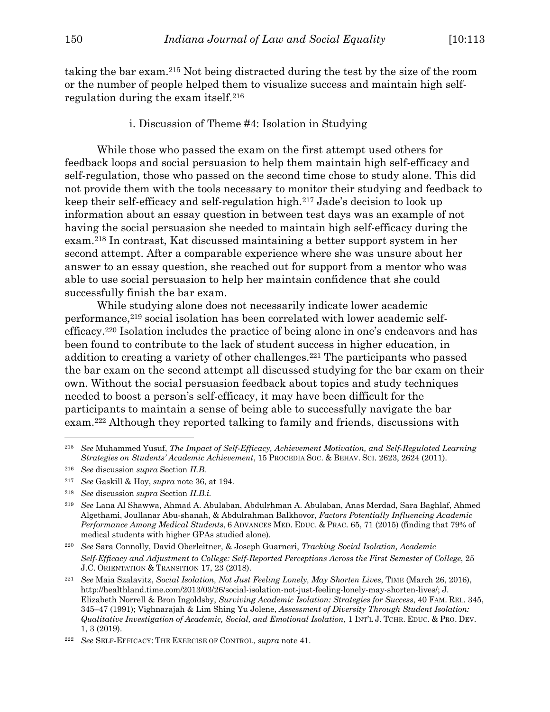taking the bar exam.215 Not being distracted during the test by the size of the room or the number of people helped them to visualize success and maintain high selfregulation during the exam itself.216

i. Discussion of Theme #4: Isolation in Studying

While those who passed the exam on the first attempt used others for feedback loops and social persuasion to help them maintain high self-efficacy and self-regulation, those who passed on the second time chose to study alone. This did not provide them with the tools necessary to monitor their studying and feedback to keep their self-efficacy and self-regulation high.217 Jade's decision to look up information about an essay question in between test days was an example of not having the social persuasion she needed to maintain high self-efficacy during the exam.218 In contrast, Kat discussed maintaining a better support system in her second attempt. After a comparable experience where she was unsure about her answer to an essay question, she reached out for support from a mentor who was able to use social persuasion to help her maintain confidence that she could successfully finish the bar exam.

While studying alone does not necessarily indicate lower academic performance,219 social isolation has been correlated with lower academic selfefficacy.220 Isolation includes the practice of being alone in one's endeavors and has been found to contribute to the lack of student success in higher education, in addition to creating a variety of other challenges.221 The participants who passed the bar exam on the second attempt all discussed studying for the bar exam on their own. Without the social persuasion feedback about topics and study techniques needed to boost a person's self-efficacy, it may have been difficult for the participants to maintain a sense of being able to successfully navigate the bar exam.222 Although they reported talking to family and friends, discussions with

<sup>215</sup> *See* Muhammed Yusuf, *The Impact of Self-Efficacy, Achievement Motivation, and Self-Regulated Learning Strategies on Students' Academic Achievement*, 15 PROCEDIA SOC. & BEHAV. SCI. 2623, 2624 (2011).

<sup>216</sup> *See* discussion *supra* Section *II.B.*

<sup>217</sup> *See* Gaskill & Hoy, *supra* note 36, at 194.

<sup>218</sup> *See* discussion *supra* Section *II.B.i.*

<sup>219</sup> *See* Lana Al Shawwa, Ahmad A. Abulaban, Abdulrhman A. Abulaban, Anas Merdad, Sara Baghlaf, Ahmed Algethami, Joullanar Abu-shanah, & Abdulrahman Balkhovor, *Factors Potentially Influencing Academic Performance Among Medical Students*, 6 ADVANCES MED. EDUC. & PRAC. 65, 71 (2015) (finding that 79% of medical students with higher GPAs studied alone).

<sup>220</sup> *See* Sara Connolly, David Oberleitner, & Joseph Guarneri, *Tracking Social Isolation, Academic Self-Efficacy and Adjustment to College: Self-Reported Perceptions Across the First Semester of College*, 25 J.C. ORIENTATION & TRANSITION 17, 23 (2018).

<sup>221</sup> *See* Maia Szalavitz, *Social Isolation, Not Just Feeling Lonely, May Shorten Lives*, TIME (March 26, 2016), http://healthland.time.com/2013/03/26/social-isolation-not-just-feeling-lonely-may-shorten-lives/; J. Elizabeth Norrell & Bron Ingoldsby, *Surviving Academic Isolation: Strategies for Success*, 40 FAM. REL. 345, 345–47 (1991); Vighnarajah & Lim Shing Yu Jolene, *Assessment of Diversity Through Student Isolation: Qualitative Investigation of Academic, Social, and Emotional Isolation*, 1 INT'L J. TCHR. EDUC. & PRO. DEV. 1, 3 (2019).

<sup>222</sup> *See* SELF-EFFICACY: THE EXERCISE OF CONTROL, *supra* note 41.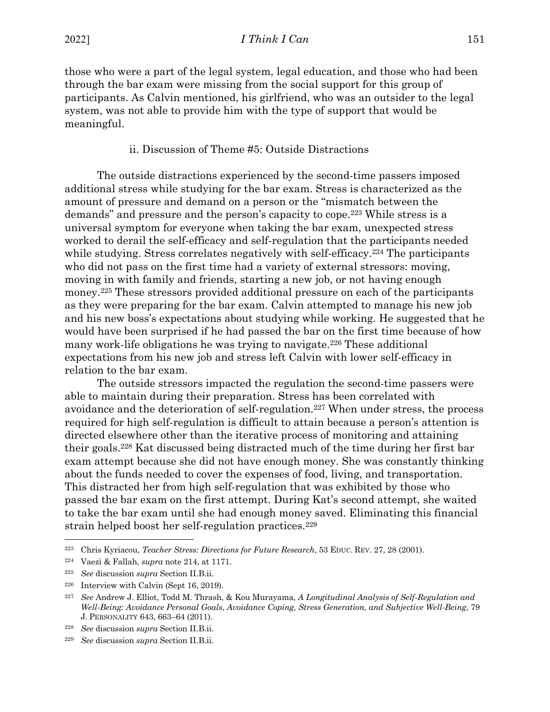those who were a part of the legal system, legal education, and those who had been through the bar exam were missing from the social support for this group of participants. As Calvin mentioned, his girlfriend, who was an outsider to the legal system, was not able to provide him with the type of support that would be meaningful.

## ii. Discussion of Theme #5: Outside Distractions

The outside distractions experienced by the second-time passers imposed additional stress while studying for the bar exam. Stress is characterized as the amount of pressure and demand on a person or the "mismatch between the demands" and pressure and the person's capacity to cope.223 While stress is a universal symptom for everyone when taking the bar exam, unexpected stress worked to derail the self-efficacy and self-regulation that the participants needed while studying. Stress correlates negatively with self-efficacy.<sup>224</sup> The participants who did not pass on the first time had a variety of external stressors: moving, moving in with family and friends, starting a new job, or not having enough money.225 These stressors provided additional pressure on each of the participants as they were preparing for the bar exam. Calvin attempted to manage his new job and his new boss's expectations about studying while working. He suggested that he would have been surprised if he had passed the bar on the first time because of how many work-life obligations he was trying to navigate.226 These additional expectations from his new job and stress left Calvin with lower self-efficacy in relation to the bar exam.

The outside stressors impacted the regulation the second-time passers were able to maintain during their preparation. Stress has been correlated with avoidance and the deterioration of self-regulation.227 When under stress, the process required for high self-regulation is difficult to attain because a person's attention is directed elsewhere other than the iterative process of monitoring and attaining their goals.228 Kat discussed being distracted much of the time during her first bar exam attempt because she did not have enough money. She was constantly thinking about the funds needed to cover the expenses of food, living, and transportation. This distracted her from high self-regulation that was exhibited by those who passed the bar exam on the first attempt. During Kat's second attempt, she waited to take the bar exam until she had enough money saved. Eliminating this financial strain helped boost her self-regulation practices.229

<sup>223</sup> Chris Kyriacou, *Teacher Stress: Directions for Future Research*, 53 EDUC. REV. 27, 28 (2001).

<sup>224</sup> Vaezi & Fallah, *supra* note 214, at 1171.

<sup>225</sup> *See* discussion *supra* Section II.B.ii.

<sup>226</sup> Interview with Calvin (Sept 16, 2019).

<sup>227</sup> *See* Andrew J. Elliot, Todd M. Thrash, & Kou Murayama, *A Longitudinal Analysis of Self-Regulation and Well-Being: Avoidance Personal Goals, Avoidance Coping, Stress Generation, and Subjective Well-Being*, 79 J. PERSONALITY 643, 663–64 (2011).

<sup>228</sup> *See* discussion *supra* Section II.B.ii.

<sup>229</sup> *See* discussion *supra* Section II.B.ii.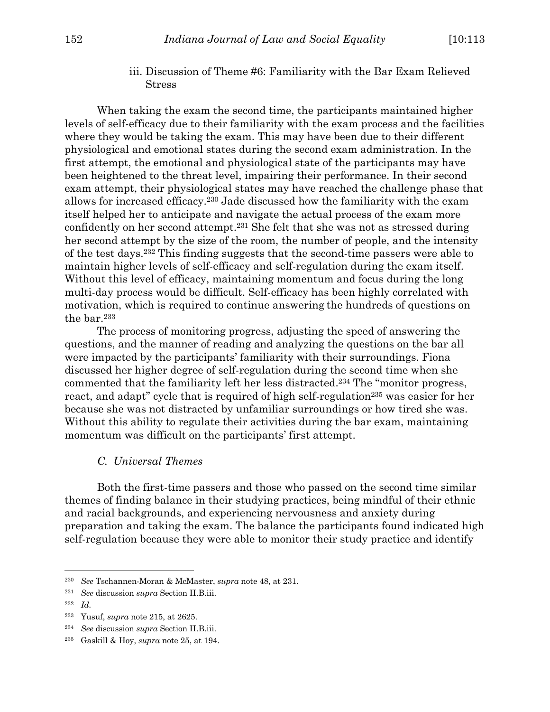iii. Discussion of Theme #6: Familiarity with the Bar Exam Relieved Stress

When taking the exam the second time, the participants maintained higher levels of self-efficacy due to their familiarity with the exam process and the facilities where they would be taking the exam. This may have been due to their different physiological and emotional states during the second exam administration. In the first attempt, the emotional and physiological state of the participants may have been heightened to the threat level, impairing their performance. In their second exam attempt, their physiological states may have reached the challenge phase that allows for increased efficacy.230 Jade discussed how the familiarity with the exam itself helped her to anticipate and navigate the actual process of the exam more confidently on her second attempt.231 She felt that she was not as stressed during her second attempt by the size of the room, the number of people, and the intensity of the test days.232 This finding suggests that the second-time passers were able to maintain higher levels of self-efficacy and self-regulation during the exam itself. Without this level of efficacy, maintaining momentum and focus during the long multi-day process would be difficult. Self-efficacy has been highly correlated with motivation, which is required to continue answering the hundreds of questions on the bar.233

The process of monitoring progress, adjusting the speed of answering the questions, and the manner of reading and analyzing the questions on the bar all were impacted by the participants' familiarity with their surroundings. Fiona discussed her higher degree of self-regulation during the second time when she commented that the familiarity left her less distracted.234 The "monitor progress, react, and adapt" cycle that is required of high self-regulation<sup>235</sup> was easier for her because she was not distracted by unfamiliar surroundings or how tired she was. Without this ability to regulate their activities during the bar exam, maintaining momentum was difficult on the participants' first attempt.

#### *C. Universal Themes*

Both the first-time passers and those who passed on the second time similar themes of finding balance in their studying practices, being mindful of their ethnic and racial backgrounds, and experiencing nervousness and anxiety during preparation and taking the exam. The balance the participants found indicated high self-regulation because they were able to monitor their study practice and identify

<sup>231</sup> *See* discussion *supra* Section II.B.iii.

<sup>230</sup> *See* Tschannen-Moran & McMaster, *supra* note 48, at 231.

<sup>232</sup> *Id.*

<sup>233</sup> Yusuf, *supra* note 215, at 2625.

<sup>234</sup> *See* discussion *supra* Section II.B.iii.

<sup>235</sup> Gaskill & Hoy, *supra* note 25, at 194.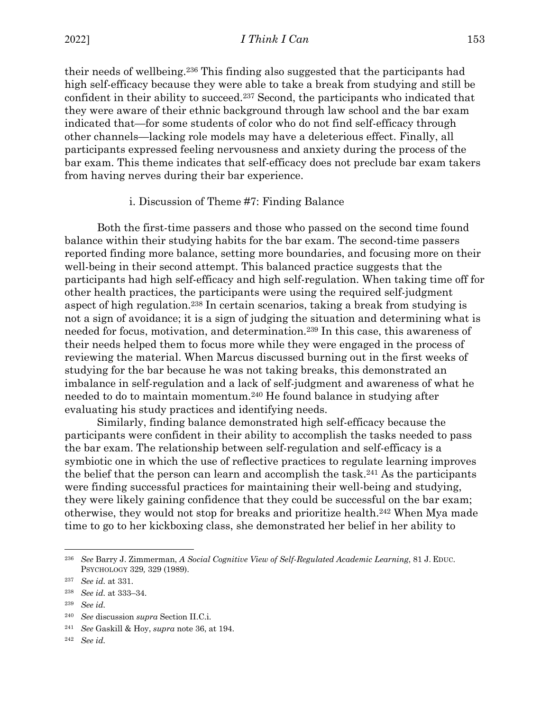their needs of wellbeing.236 This finding also suggested that the participants had high self-efficacy because they were able to take a break from studying and still be confident in their ability to succeed.237 Second, the participants who indicated that they were aware of their ethnic background through law school and the bar exam indicated that—for some students of color who do not find self-efficacy through other channels—lacking role models may have a deleterious effect. Finally, all participants expressed feeling nervousness and anxiety during the process of the bar exam. This theme indicates that self-efficacy does not preclude bar exam takers from having nerves during their bar experience.

#### i. Discussion of Theme #7: Finding Balance

Both the first-time passers and those who passed on the second time found balance within their studying habits for the bar exam. The second-time passers reported finding more balance, setting more boundaries, and focusing more on their well-being in their second attempt. This balanced practice suggests that the participants had high self-efficacy and high self-regulation. When taking time off for other health practices, the participants were using the required self-judgment aspect of high regulation.238 In certain scenarios, taking a break from studying is not a sign of avoidance; it is a sign of judging the situation and determining what is needed for focus, motivation, and determination.239 In this case, this awareness of their needs helped them to focus more while they were engaged in the process of reviewing the material. When Marcus discussed burning out in the first weeks of studying for the bar because he was not taking breaks, this demonstrated an imbalance in self-regulation and a lack of self-judgment and awareness of what he needed to do to maintain momentum.240 He found balance in studying after evaluating his study practices and identifying needs.

Similarly, finding balance demonstrated high self-efficacy because the participants were confident in their ability to accomplish the tasks needed to pass the bar exam. The relationship between self-regulation and self-efficacy is a symbiotic one in which the use of reflective practices to regulate learning improves the belief that the person can learn and accomplish the task.241 As the participants were finding successful practices for maintaining their well-being and studying, they were likely gaining confidence that they could be successful on the bar exam; otherwise, they would not stop for breaks and prioritize health.242 When Mya made time to go to her kickboxing class, she demonstrated her belief in her ability to

<sup>239</sup> *See id.*

<sup>236</sup> *See* Barry J. Zimmerman, *A Social Cognitive View of Self-Regulated Academic Learning*, 81 J. EDUC. PSYCHOLOGY 329*,* 329 (1989).

<sup>237</sup> *See id.* at 331.

<sup>238</sup> *See id.* at 333–34.

<sup>240</sup> *See* discussion *supra* Section II.C.i.

<sup>241</sup> *See* Gaskill & Hoy, *supra* note 36, at 194.

<sup>242</sup> *See id.*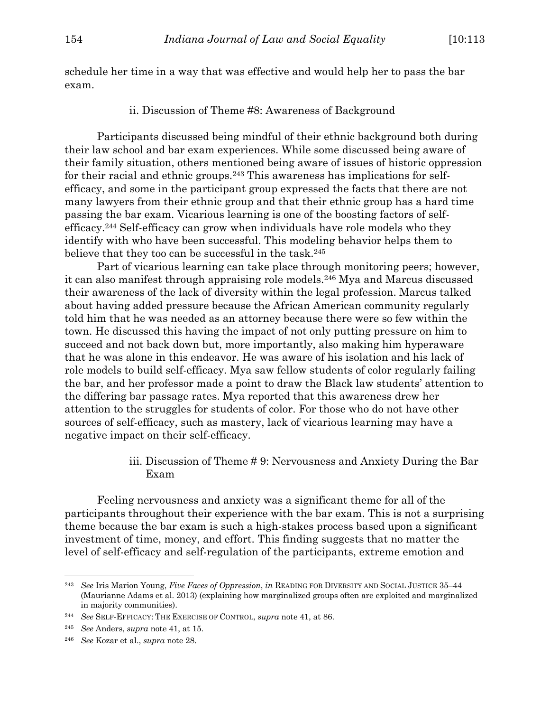schedule her time in a way that was effective and would help her to pass the bar exam.

ii. Discussion of Theme #8: Awareness of Background

Participants discussed being mindful of their ethnic background both during their law school and bar exam experiences. While some discussed being aware of their family situation, others mentioned being aware of issues of historic oppression for their racial and ethnic groups.243 This awareness has implications for selfefficacy, and some in the participant group expressed the facts that there are not many lawyers from their ethnic group and that their ethnic group has a hard time passing the bar exam. Vicarious learning is one of the boosting factors of selfefficacy.244 Self-efficacy can grow when individuals have role models who they identify with who have been successful. This modeling behavior helps them to believe that they too can be successful in the task.<sup>245</sup>

Part of vicarious learning can take place through monitoring peers; however, it can also manifest through appraising role models.246 Mya and Marcus discussed their awareness of the lack of diversity within the legal profession. Marcus talked about having added pressure because the African American community regularly told him that he was needed as an attorney because there were so few within the town. He discussed this having the impact of not only putting pressure on him to succeed and not back down but, more importantly, also making him hyperaware that he was alone in this endeavor. He was aware of his isolation and his lack of role models to build self-efficacy. Mya saw fellow students of color regularly failing the bar, and her professor made a point to draw the Black law students' attention to the differing bar passage rates. Mya reported that this awareness drew her attention to the struggles for students of color. For those who do not have other sources of self-efficacy, such as mastery, lack of vicarious learning may have a negative impact on their self-efficacy.

> iii. Discussion of Theme # 9: Nervousness and Anxiety During the Bar Exam

Feeling nervousness and anxiety was a significant theme for all of the participants throughout their experience with the bar exam. This is not a surprising theme because the bar exam is such a high-stakes process based upon a significant investment of time, money, and effort. This finding suggests that no matter the level of self-efficacy and self-regulation of the participants, extreme emotion and

<sup>243</sup> *See* Iris Marion Young, *Five Faces of Oppression*, *in* READING FOR DIVERSITY AND SOCIAL JUSTICE 35–44 (Maurianne Adams et al. 2013) (explaining how marginalized groups often are exploited and marginalized in majority communities).

<sup>244</sup> *See* SELF-EFFICACY: THE EXERCISE OF CONTROL, *supra* note 41, at 86.

<sup>245</sup> *See* Anders, *supra* note 41, at 15.

<sup>246</sup> *See* Kozar et al., *supra* note 28.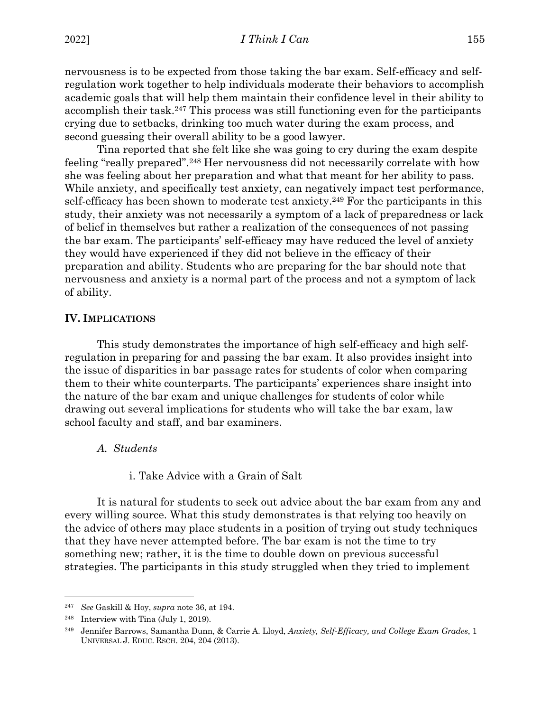nervousness is to be expected from those taking the bar exam. Self-efficacy and selfregulation work together to help individuals moderate their behaviors to accomplish academic goals that will help them maintain their confidence level in their ability to accomplish their task.247 This process was still functioning even for the participants crying due to setbacks, drinking too much water during the exam process, and second guessing their overall ability to be a good lawyer.

Tina reported that she felt like she was going to cry during the exam despite feeling "really prepared".248 Her nervousness did not necessarily correlate with how she was feeling about her preparation and what that meant for her ability to pass. While anxiety, and specifically test anxiety, can negatively impact test performance, self-efficacy has been shown to moderate test anxiety.<sup>249</sup> For the participants in this study, their anxiety was not necessarily a symptom of a lack of preparedness or lack of belief in themselves but rather a realization of the consequences of not passing the bar exam. The participants' self-efficacy may have reduced the level of anxiety they would have experienced if they did not believe in the efficacy of their preparation and ability. Students who are preparing for the bar should note that nervousness and anxiety is a normal part of the process and not a symptom of lack of ability.

#### **IV. IMPLICATIONS**

This study demonstrates the importance of high self-efficacy and high selfregulation in preparing for and passing the bar exam. It also provides insight into the issue of disparities in bar passage rates for students of color when comparing them to their white counterparts. The participants' experiences share insight into the nature of the bar exam and unique challenges for students of color while drawing out several implications for students who will take the bar exam, law school faculty and staff, and bar examiners.

#### *A. Students*

#### i. Take Advice with a Grain of Salt

It is natural for students to seek out advice about the bar exam from any and every willing source. What this study demonstrates is that relying too heavily on the advice of others may place students in a position of trying out study techniques that they have never attempted before. The bar exam is not the time to try something new; rather, it is the time to double down on previous successful strategies. The participants in this study struggled when they tried to implement

<sup>247</sup> *See* Gaskill & Hoy, *supra* note 36, at 194.

<sup>248</sup> Interview with Tina (July 1, 2019).

<sup>249</sup> Jennifer Barrows, Samantha Dunn, & Carrie A. Lloyd, *Anxiety, Self-Efficacy, and College Exam Grades*, 1 UNIVERSAL J. EDUC. RSCH. 204, 204 (2013).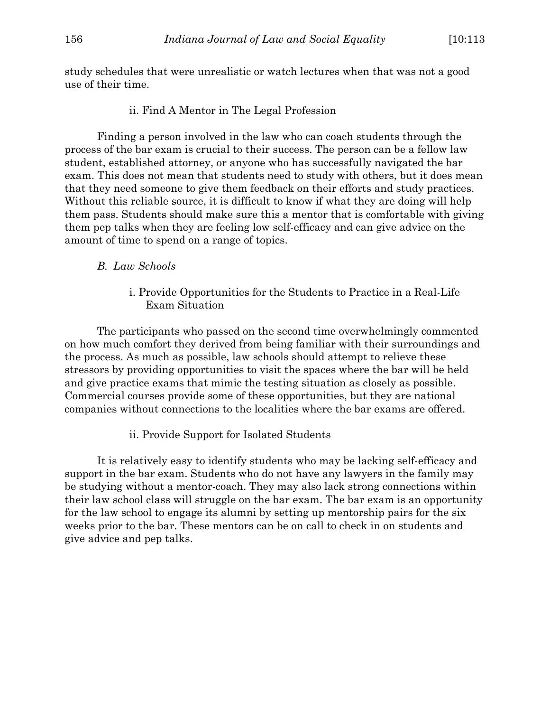study schedules that were unrealistic or watch lectures when that was not a good use of their time.

#### ii. Find A Mentor in The Legal Profession

Finding a person involved in the law who can coach students through the process of the bar exam is crucial to their success. The person can be a fellow law student, established attorney, or anyone who has successfully navigated the bar exam. This does not mean that students need to study with others, but it does mean that they need someone to give them feedback on their efforts and study practices. Without this reliable source, it is difficult to know if what they are doing will help them pass. Students should make sure this a mentor that is comfortable with giving them pep talks when they are feeling low self-efficacy and can give advice on the amount of time to spend on a range of topics.

#### *B. Law Schools*

i. Provide Opportunities for the Students to Practice in a Real-Life Exam Situation

The participants who passed on the second time overwhelmingly commented on how much comfort they derived from being familiar with their surroundings and the process. As much as possible, law schools should attempt to relieve these stressors by providing opportunities to visit the spaces where the bar will be held and give practice exams that mimic the testing situation as closely as possible. Commercial courses provide some of these opportunities, but they are national companies without connections to the localities where the bar exams are offered.

ii. Provide Support for Isolated Students

It is relatively easy to identify students who may be lacking self-efficacy and support in the bar exam. Students who do not have any lawyers in the family may be studying without a mentor-coach. They may also lack strong connections within their law school class will struggle on the bar exam. The bar exam is an opportunity for the law school to engage its alumni by setting up mentorship pairs for the six weeks prior to the bar. These mentors can be on call to check in on students and give advice and pep talks.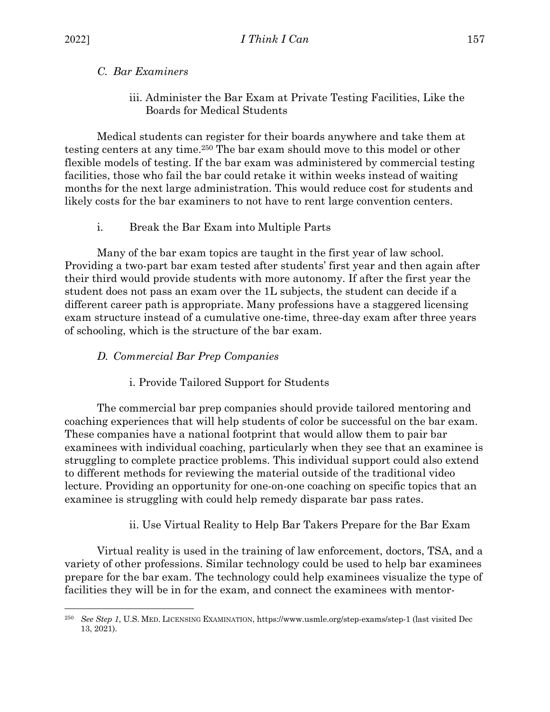# *C. Bar Examiners*

iii. Administer the Bar Exam at Private Testing Facilities, Like the Boards for Medical Students

Medical students can register for their boards anywhere and take them at testing centers at any time.250 The bar exam should move to this model or other flexible models of testing. If the bar exam was administered by commercial testing facilities, those who fail the bar could retake it within weeks instead of waiting months for the next large administration. This would reduce cost for students and likely costs for the bar examiners to not have to rent large convention centers.

# i. Break the Bar Exam into Multiple Parts

Many of the bar exam topics are taught in the first year of law school. Providing a two-part bar exam tested after students' first year and then again after their third would provide students with more autonomy. If after the first year the student does not pass an exam over the 1L subjects, the student can decide if a different career path is appropriate. Many professions have a staggered licensing exam structure instead of a cumulative one-time, three-day exam after three years of schooling, which is the structure of the bar exam.

# *D. Commercial Bar Prep Companies*

i. Provide Tailored Support for Students

The commercial bar prep companies should provide tailored mentoring and coaching experiences that will help students of color be successful on the bar exam. These companies have a national footprint that would allow them to pair bar examinees with individual coaching, particularly when they see that an examinee is struggling to complete practice problems. This individual support could also extend to different methods for reviewing the material outside of the traditional video lecture. Providing an opportunity for one-on-one coaching on specific topics that an examinee is struggling with could help remedy disparate bar pass rates.

# ii. Use Virtual Reality to Help Bar Takers Prepare for the Bar Exam

Virtual reality is used in the training of law enforcement, doctors, TSA, and a variety of other professions. Similar technology could be used to help bar examinees prepare for the bar exam. The technology could help examinees visualize the type of facilities they will be in for the exam, and connect the examinees with mentor-

<sup>250</sup> *See Step 1*, U.S. MED. LICENSING EXAMINATION, https://www.usmle.org/step-exams/step-1 (last visited Dec 13, 2021).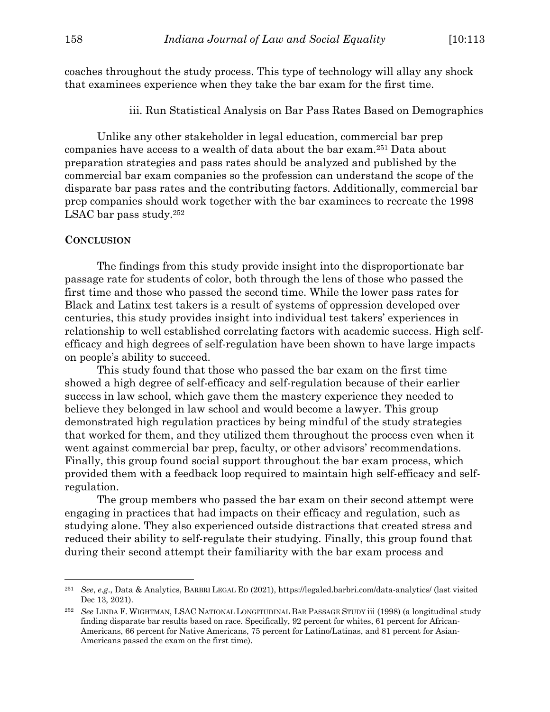coaches throughout the study process. This type of technology will allay any shock that examinees experience when they take the bar exam for the first time.

iii. Run Statistical Analysis on Bar Pass Rates Based on Demographics

Unlike any other stakeholder in legal education, commercial bar prep companies have access to a wealth of data about the bar exam.251 Data about preparation strategies and pass rates should be analyzed and published by the commercial bar exam companies so the profession can understand the scope of the disparate bar pass rates and the contributing factors. Additionally, commercial bar prep companies should work together with the bar examinees to recreate the 1998 LSAC bar pass study.252

#### **CONCLUSION**

The findings from this study provide insight into the disproportionate bar passage rate for students of color, both through the lens of those who passed the first time and those who passed the second time. While the lower pass rates for Black and Latinx test takers is a result of systems of oppression developed over centuries, this study provides insight into individual test takers' experiences in relationship to well established correlating factors with academic success. High selfefficacy and high degrees of self-regulation have been shown to have large impacts on people's ability to succeed.

This study found that those who passed the bar exam on the first time showed a high degree of self-efficacy and self-regulation because of their earlier success in law school, which gave them the mastery experience they needed to believe they belonged in law school and would become a lawyer. This group demonstrated high regulation practices by being mindful of the study strategies that worked for them, and they utilized them throughout the process even when it went against commercial bar prep, faculty, or other advisors' recommendations. Finally, this group found social support throughout the bar exam process, which provided them with a feedback loop required to maintain high self-efficacy and selfregulation.

The group members who passed the bar exam on their second attempt were engaging in practices that had impacts on their efficacy and regulation, such as studying alone. They also experienced outside distractions that created stress and reduced their ability to self-regulate their studying. Finally, this group found that during their second attempt their familiarity with the bar exam process and

<sup>251</sup> *See*, *e*.*g*., Data & Analytics, BARBRI LEGAL ED (2021), https://legaled.barbri.com/data-analytics/ (last visited Dec 13, 2021).

<sup>252</sup> *See* LINDA F. WIGHTMAN, LSAC NATIONAL LONGITUDINAL BAR PASSAGE STUDY iii (1998) (a longitudinal study finding disparate bar results based on race. Specifically, 92 percent for whites, 61 percent for African-Americans, 66 percent for Native Americans, 75 percent for Latino/Latinas, and 81 percent for Asian-Americans passed the exam on the first time).